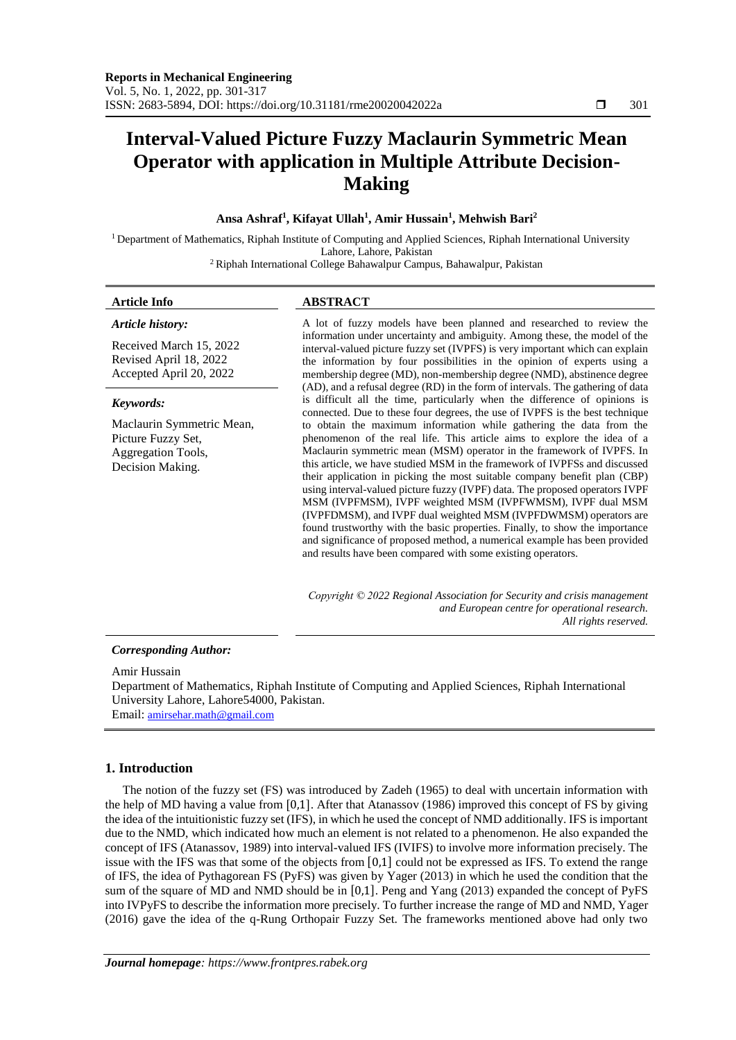# **Interval-Valued Picture Fuzzy Maclaurin Symmetric Mean Operator with application in Multiple Attribute Decision-Making**

### **Ansa Ashraf<sup>1</sup> , Kifayat Ullah<sup>1</sup> , Amir Hussain<sup>1</sup> , Mehwish Bari<sup>2</sup>**

<sup>1</sup> Department of Mathematics, Riphah Institute of Computing and Applied Sciences, Riphah International University Lahore, Lahore, Pakistan

<sup>2</sup>Riphah International College Bahawalpur Campus, Bahawalpur, Pakistan

#### **Article Info ABSTRACT** *Article history:* Received March 15, 2022 Revised April 18, 2022 Accepted April 20, 2022 A lot of fuzzy models have been planned and researched to review the information under uncertainty and ambiguity. Among these, the model of the interval-valued picture fuzzy set (IVPFS) is very important which can explain the information by four possibilities in the opinion of experts using a membership degree (MD), non-membership degree (NMD), abstinence degree (AD), and a refusal degree (RD) in the form of intervals. The gathering of data is difficult all the time, particularly when the difference of opinions is connected. Due to these four degrees, the use of IVPFS is the best technique to obtain the maximum information while gathering the data from the phenomenon of the real life. This article aims to explore the idea of a Maclaurin symmetric mean (MSM) operator in the framework of IVPFS. In this article, we have studied MSM in the framework of IVPFSs and discussed their application in picking the most suitable company benefit plan (CBP) using interval-valued picture fuzzy (IVPF) data. The proposed operators IVPF MSM (IVPFMSM), IVPF weighted MSM (IVPFWMSM), IVPF dual MSM (IVPFDMSM), and IVPF dual weighted MSM (IVPFDWMSM) operators are found trustworthy with the basic properties. Finally, to show the importance and significance of proposed method, a numerical example has been provided and results have been compared with some existing operators. *Keywords:* Maclaurin Symmetric Mean, Picture Fuzzy Set, Aggregation Tools, Decision Making. *Copyright © 2022 Regional Association for Security and crisis management and European centre for operational research. All rights reserved.*

#### *Corresponding Author:*

Amir Hussain Department of Mathematics, Riphah Institute of Computing and Applied Sciences, Riphah International University Lahore, Lahore54000, Pakistan. Email: [amirsehar.math@gmail.com](mailto:amirsehar.math@gmail.com)

## **1. Introduction**

The notion of the fuzzy set (FS) was introduced by Zadeh (1965) to deal with uncertain information with the help of MD having a value from [0,1]. After that Atanassov (1986) improved this concept of FS by giving the idea of the intuitionistic fuzzy set (IFS), in which he used the concept of NMD additionally. IFS is important due to the NMD, which indicated how much an element is not related to a phenomenon. He also expanded the concept of IFS (Atanassov, 1989) into interval-valued IFS (IVIFS) to involve more information precisely. The issue with the IFS was that some of the objects from [0,1] could not be expressed as IFS. To extend the range of IFS, the idea of Pythagorean FS (PyFS) was given by Yager (2013) in which he used the condition that the sum of the square of MD and NMD should be in [0,1]. Peng and Yang (2013) expanded the concept of PyFS into IVPyFS to describe the information more precisely. To further increase the range of MD and NMD, Yager (2016) gave the idea of the q-Rung Orthopair Fuzzy Set. The frameworks mentioned above had only two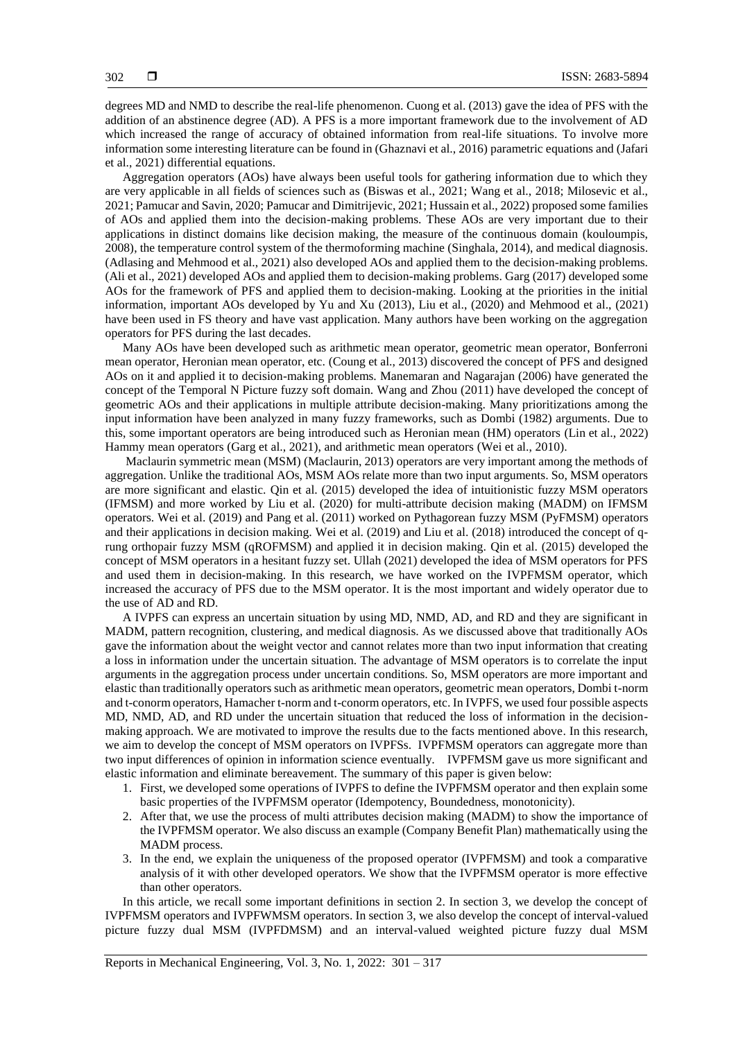degrees MD and NMD to describe the real-life phenomenon. Cuong et al. (2013) gave the idea of PFS with the addition of an abstinence degree (AD). A PFS is a more important framework due to the involvement of AD which increased the range of accuracy of obtained information from real-life situations. To involve more information some interesting literature can be found in (Ghaznavi et al., 2016) parametric equations and (Jafari et al., 2021) differential equations.

Aggregation operators (AOs) have always been useful tools for gathering information due to which they are very applicable in all fields of sciences such as (Biswas et al., 2021; Wang et al., 2018; Milosevic et al., 2021; Pamucar and Savin, 2020; Pamucar and Dimitrijevic, 2021; Hussain et al., 2022) proposed some families of AOs and applied them into the decision-making problems. These AOs are very important due to their applications in distinct domains like decision making, the measure of the continuous domain (kouloumpis, 2008), the temperature control system of the thermoforming machine (Singhala, 2014), and medical diagnosis. (Adlasing and Mehmood et al., 2021) also developed AOs and applied them to the decision-making problems. (Ali et al., 2021) developed AOs and applied them to decision-making problems. Garg (2017) developed some AOs for the framework of PFS and applied them to decision-making. Looking at the priorities in the initial information, important AOs developed by Yu and Xu (2013), Liu et al., (2020) and Mehmood et al., (2021) have been used in FS theory and have vast application. Many authors have been working on the aggregation operators for PFS during the last decades.

Many AOs have been developed such as arithmetic mean operator, geometric mean operator, Bonferroni mean operator, Heronian mean operator, etc. (Coung et al., 2013) discovered the concept of PFS and designed AOs on it and applied it to decision-making problems. Manemaran and Nagarajan (2006) have generated the concept of the Temporal N Picture fuzzy soft domain. Wang and Zhou (2011) have developed the concept of geometric AOs and their applications in multiple attribute decision-making. Many prioritizations among the input information have been analyzed in many fuzzy frameworks, such as Dombi (1982) arguments. Due to this, some important operators are being introduced such as Heronian mean (HM) operators (Lin et al., 2022) Hammy mean operators (Garg et al., 2021), and arithmetic mean operators (Wei et al., 2010).

Maclaurin symmetric mean (MSM) (Maclaurin, 2013) operators are very important among the methods of aggregation. Unlike the traditional AOs, MSM AOs relate more than two input arguments. So, MSM operators are more significant and elastic. Qin et al. (2015) developed the idea of intuitionistic fuzzy MSM operators (IFMSM) and more worked by Liu et al. (2020) for multi-attribute decision making (MADM) on IFMSM operators. Wei et al. (2019) and Pang et al. (2011) worked on Pythagorean fuzzy MSM (PyFMSM) operators and their applications in decision making. Wei et al. (2019) and Liu et al. (2018) introduced the concept of qrung orthopair fuzzy MSM (qROFMSM) and applied it in decision making. Qin et al. (2015) developed the concept of MSM operators in a hesitant fuzzy set. Ullah (2021) developed the idea of MSM operators for PFS and used them in decision-making. In this research, we have worked on the IVPFMSM operator, which increased the accuracy of PFS due to the MSM operator. It is the most important and widely operator due to the use of AD and RD.

A IVPFS can express an uncertain situation by using MD, NMD, AD, and RD and they are significant in MADM, pattern recognition, clustering, and medical diagnosis. As we discussed above that traditionally AOs gave the information about the weight vector and cannot relates more than two input information that creating a loss in information under the uncertain situation. The advantage of MSM operators is to correlate the input arguments in the aggregation process under uncertain conditions. So, MSM operators are more important and elastic than traditionally operators such as arithmetic mean operators, geometric mean operators, Dombi t-norm and t-conorm operators, Hamacher t-norm and t-conorm operators, etc. In IVPFS, we used four possible aspects MD, NMD, AD, and RD under the uncertain situation that reduced the loss of information in the decisionmaking approach. We are motivated to improve the results due to the facts mentioned above. In this research, we aim to develop the concept of MSM operators on IVPFSs. IVPFMSM operators can aggregate more than two input differences of opinion in information science eventually. IVPFMSM gave us more significant and elastic information and eliminate bereavement. The summary of this paper is given below:

- 1. First, we developed some operations of IVPFS to define the IVPFMSM operator and then explain some basic properties of the IVPFMSM operator (Idempotency, Boundedness, monotonicity).
- 2. After that, we use the process of multi attributes decision making (MADM) to show the importance of the IVPFMSM operator. We also discuss an example (Company Benefit Plan) mathematically using the MADM process.
- 3. In the end, we explain the uniqueness of the proposed operator (IVPFMSM) and took a comparative analysis of it with other developed operators. We show that the IVPFMSM operator is more effective than other operators.

In this article, we recall some important definitions in section 2. In section 3, we develop the concept of IVPFMSM operators and IVPFWMSM operators. In section 3, we also develop the concept of interval-valued picture fuzzy dual MSM (IVPFDMSM) and an interval-valued weighted picture fuzzy dual MSM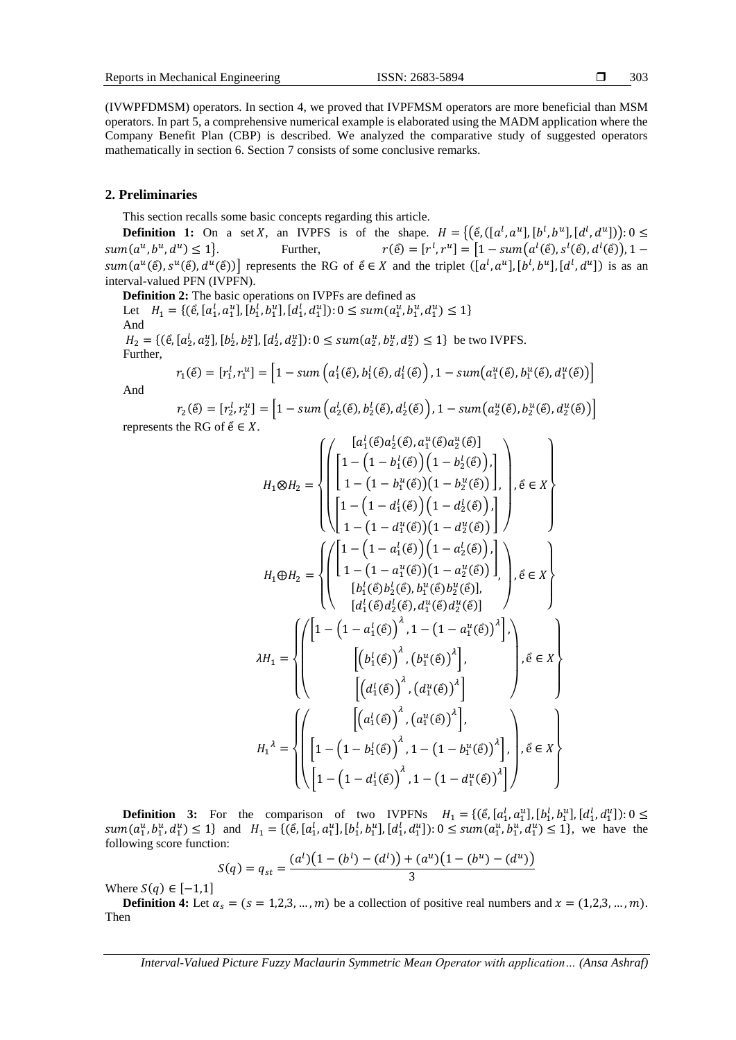(IVWPFDMSM) operators. In section 4, we proved that IVPFMSM operators are more beneficial than MSM operators. In part 5, a comprehensive numerical example is elaborated using the MADM application where the Company Benefit Plan (CBP) is described. We analyzed the comparative study of suggested operators mathematically in section 6. Section 7 consists of some conclusive remarks.

#### **2. Preliminaries**

This section recalls some basic concepts regarding this article.

**Definition 1:** On a set X, an IVPFS is of the shape.  $H = \{(\hat{e}, ([a^l, a^u], [b^l, b^u], [d^l, d^u])\}: 0 \leq$  $sum(a^u, b^u, d$  $r(\tilde{e}) = [r^l, r^u] = [1 - \text{sum}(a^l(\tilde{e}), a^l(\tilde{e})), 1$  $sum(a^u(\hat{e}), s^u(\hat{e}), d^u(\hat{e}))$  represents the RG of  $\hat{e} \in X$  and the triplet  $([a^l, a^u], [b^l, b^u], [d^l, d^u])$  is as an interval-valued PFN (IVPFN).

**Definition 2:** The basic operations on IVPFs are defined as Let  $H_1 = \{(\hat{e}, [a_1^l, a_1^u], [b_1^l, b_1^u], [d_1^l, d_1^u]) : 0 \le \text{sum}(a_1^u, b_1^u, d_1^u) \le 1\}$ And  $H_2 = \{(\hat{\mathbf{e}}, [a_2^l, a_2^u], [b_2^l, b_2^u], [d_2^l, d_2^u]) : 0 \le \text{sum}(a_2^u, b_2^u, d_2^u) \le 1\}$  be two IVPFS. Further,

$$
r_1(\tilde{e}) = [r_1^l, r_1^u] = \left[1 - \text{sum}\left(a_1^l(\tilde{e}), b_1^l(\tilde{e}), d_1^l(\tilde{e})\right), 1 - \text{sum}\left(a_1^u(\tilde{e}), b_1^u(\tilde{e}), d_1^u(\tilde{e})\right)\right]
$$

And

$$
r_2(\tilde{e}) = [r_2^l, r_2^u] = \left[1 - \text{sum}\left(a_2^l(\tilde{e}), b_2^l(\tilde{e}), d_2^l(\tilde{e})\right), 1 - \text{sum}\left(a_2^u(\tilde{e}), b_2^u(\tilde{e}), d_2^u(\tilde{e})\right)\right]
$$
  
represents the RG of  $\tilde{e} \in X$ .

$$
H_{1} \otimes H_{2} = \left\{ \left( \begin{bmatrix} a_{1}^{l}(\tilde{\epsilon}) a_{2}^{l}(\tilde{\epsilon}) a_{1}^{u}(\tilde{\epsilon}) a_{2}^{u}(\tilde{\epsilon}) \\ 1 - (1 - b_{1}^{l}(\tilde{\epsilon})) (1 - b_{2}^{l}(\tilde{\epsilon})) \\ 1 - (1 - b_{1}^{u}(\tilde{\epsilon})) (1 - b_{2}^{u}(\tilde{\epsilon})) \end{bmatrix}, \tilde{\epsilon} \in X \right\}
$$

$$
H_{1} \oplus H_{2} = \left\{ \left( \begin{bmatrix} 1 - (1 - d_{1}^{l}(\tilde{\epsilon})) (1 - d_{2}^{l}(\tilde{\epsilon})) \\ 1 - (1 - d_{1}^{u}(\tilde{\epsilon})) (1 - d_{2}^{u}(\tilde{\epsilon})) \\ 1 - (1 - a_{1}^{u}(\tilde{\epsilon})) (1 - a_{2}^{u}(\tilde{\epsilon})) \end{bmatrix}, \tilde{\epsilon} \in X \right\}
$$

$$
H_{1} \oplus H_{2} = \left\{ \left( \begin{bmatrix} 1 - (1 - a_{1}^{l}(\tilde{\epsilon})) (1 - a_{2}^{l}(\tilde{\epsilon})) \\ 1 - (1 - a_{1}^{u}(\tilde{\epsilon})) (1 - a_{2}^{u}(\tilde{\epsilon})) \end{bmatrix}, \tilde{\epsilon} \in X \right\}
$$

$$
[a_{1}^{l}(\tilde{\epsilon}) a_{2}^{l}(\tilde{\epsilon}), a_{1}^{u}(\tilde{\epsilon}) a_{2}^{u}(\tilde{\epsilon})] \end{bmatrix} \right\}, \tilde{\epsilon} \in X \right\}
$$

$$
\lambda H_{1} = \left\{ \left( \begin{bmatrix} 1 - (1 - a_{1}^{l}(\tilde{\epsilon}))^{\lambda}, 1 - (1 - a_{1}^{u}(\tilde{\epsilon}))^{\lambda} \end{bmatrix}, \tilde{\epsilon} \in X \right\}
$$

$$
[(a_{1}^{l}(\tilde{\epsilon}))^{\lambda}, (a_{1}^{u}(\tilde{\epsilon}))^{\lambda}] \end{bmatrix} \right\}, \tilde{\epsilon} \in X \right\}
$$

$$
H_{1}^{\lambda} = \left\{ \left( \begin{bmatrix} a_{1}^{l}(\tilde{\epsilon}) a_{2}^{l}(\tilde{\epsilon}) a_{2}^{u}(\tilde{\epsilon}) a_{
$$

**Definition 3:** For the comparison of two IVPFNs  $H_1 = \{(\hat{e}, [a_1^l, a_1^u], [b_1^l, b_1^u], [d_1^l, d_1^u]\} : 0 \leq$  $sum(a_1^u, b_1^u, d_1^u) \le 1$  and  $H_1 = \{(\hat{e}, [a_1^l, a_1^u], [b_1^l, b_1^u], [d_1^l, d_1^u]) : 0 \le \text{sum}(a_1^u, b_1^u, d_1^u) \le 1\}$ , we have the following score function:

$$
S(q) = q_{st} = \frac{(a^{l})(1 - (b^{l}) - (d^{l})) + (a^{u})(1 - (b^{u}) - (d^{u}))}{3}
$$

Where  $S(q) \in [-1,1]$ 

**Definition 4:** Let  $\alpha_s = (s = 1, 2, 3, ..., m)$  be a collection of positive real numbers and  $x = (1, 2, 3, ..., m)$ . Then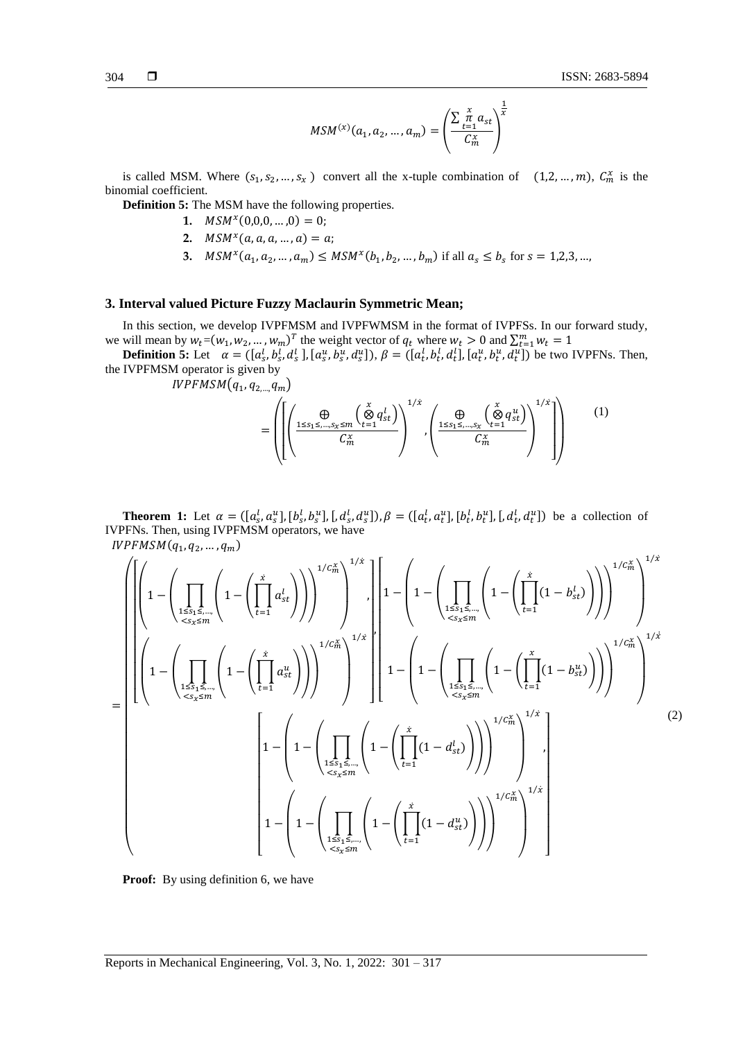$$
MSM^{(x)}(a_1, a_2, ..., a_m) = \left(\frac{\sum_{t=1}^{x} a_{st}}{C_m^x}\right)^{\frac{1}{x}}
$$

is called MSM. Where  $(s_1, s_2, ..., s_x)$  convert all the x-tuple combination of  $(1, 2, ..., m)$ ,  $C_m^x$  is the binomial coefficient.

**Definition 5:** The MSM have the following properties.

- **1.**  $MSM^x(0,0,0,...,0) = 0;$
- **2.**  $MSM^x(a, a, a, ..., a) = a;$
- **3.**  $MSM^x(a_1, a_2, ..., a_m) \leq MSM^x(b_1, b_2, ..., b_m)$  if all  $a_s \leq b_s$  for  $s = 1,2,3,...$

# **3. Interval valued Picture Fuzzy Maclaurin Symmetric Mean;**

In this section, we develop IVPFMSM and IVPFWMSM in the format of IVPFSs. In our forward study, we will mean by  $w_t = (w_1, w_2, ..., w_m)^T$  the weight vector of  $q_t$  where  $w_t > 0$  and  $\sum_{t=1}^m w_t = 1$ 

**Definition 5:** Let  $\alpha = ([a_s^l, b_s^l, d_s^l], [a_s^u, b_s^u, d_s^u]), \beta = ([a_t^l, b_t^l, d_t^l], [a_t^u, b_t^u, d_t^u])$  be two IVPFNs. Then, the IVPFMSM operator is given by

 $IVPFMSM(q_1, q_{2,...,q_m})$ 

$$
= \left( \left[ \left( \frac{\bigoplus \frac{\bigoplus \zeta_{1} \leq \dots \leq \chi \leq m} \left( \bigotimes \limits_{t=1}^x q_{st}^l \right)}{C_m^x} \right)^{1/x}, \left( \frac{\bigoplus \zeta_{1} \leq \dots \leq \chi \left( \bigotimes \limits_{t=1}^x q_{st}^u \right)}{C_m^x} \right)^{1/x} \right] \right) \tag{1}
$$

**Theorem 1:** Let  $\alpha = ([a_s^l, a_s^u], [b_s^l, b_s^u], [d_s^l, d_s^u]), \beta = ([a_t^l, a_t^u], [b_t^l, b_t^u], [d_t^l, d_t^u])$  be a collection of IVPFNs. Then, using IVPFMSM operators, we have  $\mathit{IVPFMSM}(q_1, q_2, ..., q_m)$ 

$$
= \left[\left|\left(1-\left(\prod_{1\leq s_{1}\leq...\atop{<\zeta_{s_{2}}\leq m}}\left(1-\left(\prod_{t=1}^{x}a_{st}^{l}\right)\right)\right)^{1/C_{m}^{x}}\right)^{1/x}\right|^{1/x}, \left|\left[1-\left(1-\left(\prod_{1\leq s_{1}\leq...\atop{<\zeta_{s_{2}}\leq m}}\left(1-\left(\prod_{t=1}^{x}(1-b_{st}^{l})\right)\right)\right)^{1/C_{m}^{x}}\right)^{1/x}\right]^{1/x}\right]^{1/x}
$$
\n
$$
= \left[\left(1-\left(\prod_{1\leq s_{1}\leq...\atop{<\zeta_{s_{2}}\leq m}}\left(1-\left(\prod_{t=1}^{x}a_{st}^{u}\right)\right)\right)^{1/C_{m}^{x}}\right)^{1/x}\right]^{1/x}\right]^{1/x}
$$
\n
$$
\left[1-\left(1-\left(\prod_{1\leq s_{1}\leq...\atop{<\zeta_{s_{2}}\leq m}}\left(1-\left(\prod_{t=1}^{x}(1-d_{st}^{l})\right)\right)\right)^{1/C_{m}^{x}}\right)^{1/x}\right]^{1/x}
$$
\n
$$
\left[1-\left(1-\left(\prod_{1\leq s_{1}\leq...\atop{<\zeta_{s_{2}}\leq m}}\left(1-\left(\prod_{t=1}^{x}(1-d_{st}^{l})\right)\right)\right)^{1/C_{m}^{x}}\right)^{1/x}\right]^{1/x}
$$
\n
$$
\left[1-\left(1-\left(\prod_{1\leq s_{1}\leq...\atop{<\zeta_{s_{2}}\leq m}}\left(1-\left(\prod_{t=1}^{x}(1-d_{st}^{u})\right)\right)\right)^{1/C_{m}^{x}}\right)^{1/x}\right]
$$
\n
$$
\left[1-\left(1-\left(\prod_{1\leq s_{1}\leq...\atop{<\zeta_{s_{2}}\leq m}}\left(1-\left(\prod_{t=1}^{x}(1-d_{st}^{u})\right)\right)\right)^{1/C_{m}^{x}}\right)^{1/x}\right]
$$
\n
$$
\left(1-\left(\prod_{1\leq s_{1}\leq...\atop{<\zeta_{s_{2}}\leq m}}\left(1-\left(\prod_{t=1}
$$

**Proof:** By using definition 6, we have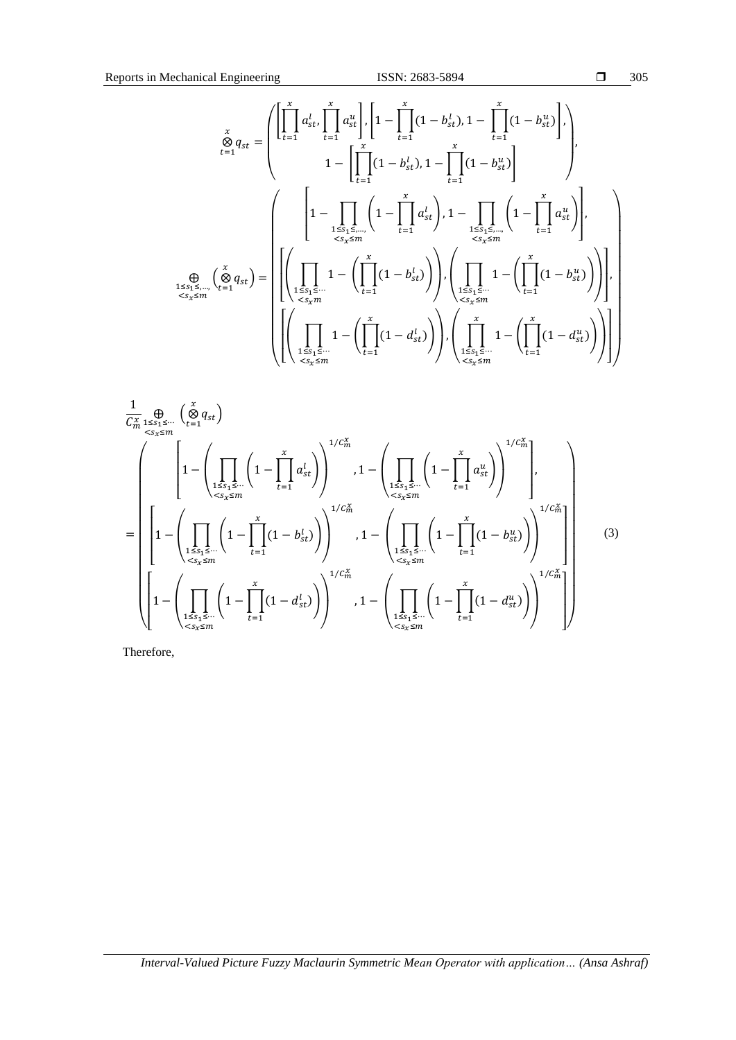$$
\Box 305
$$

$$
\sum_{t=1}^{x} q_{st} = \left( \prod_{t=1}^{x} a_{st}^{l}, \prod_{t=1}^{x} a_{st}^{u} \right), \left[ 1 - \prod_{t=1}^{x} (1 - b_{st}^{l}), 1 - \prod_{t=1}^{x} (1 - b_{st}^{u}) \right],
$$
\n
$$
1 - \left[ \prod_{t=1}^{x} (1 - b_{st}^{l}), 1 - \prod_{t=1}^{x} (1 - b_{st}^{u}) \right]
$$
\n
$$
\sum_{t=1}^{x} \left( 1 - \prod_{t=1}^{x} (1 - b_{st}^{u}) \right), \left( 1 - \prod_{t=1}^{x} a_{st}^{u} \right), \left( 1 - \prod_{t=1}^{x} a_{st}^{u} \right),
$$
\n
$$
\sum_{t \leq s_1 \leq \dots} \left( \bigotimes_{t=1}^{x} q_{st} \right) = \left( \left( \prod_{1 \leq s_1 \leq \dots} 1 - \left( \prod_{t=1}^{x} (1 - b_{st}^{l}) \right) \right), \left( \prod_{1 \leq s_1 \leq \dots} 1 - \left( \prod_{t=1}^{x} (1 - b_{st}^{u}) \right) \right) \right),
$$
\n
$$
\sum_{t \leq s_x \leq m} \left( \prod_{t \leq s_1 \leq \dots} 1 - \left( \prod_{t=1}^{x} (1 - d_{st}^{l}) \right) \right), \left( \prod_{1 \leq s_1 \leq \dots} 1 - \left( \prod_{t=1}^{x} (1 - d_{st}^{u}) \right) \right) \right)
$$

$$
\frac{1}{C_m^x} \bigoplus_{\substack{s \leq x \leq m \\ s \leq x}} {\binom{x}{t}} \left( 1 - \left( \prod_{\substack{1 \leq s_1 \leq \dots \\ s \leq x \leq m}} {\binom{x}{1 - \left( \prod_{\substack{1 \leq s_1 \leq \dots \\ s \leq x \leq m}} {\binom{x}{1 - \prod_{t=1}^x a_{st}^t}} } \right)^{1/C_m^x} , 1 - \left( \prod_{\substack{1 \leq s_1 \leq \dots \\ s \leq x \leq m}} {\binom{x}{1 - \prod_{t=1}^x a_{st}^t}} \right)^{1/C_m^x} \right),
$$
\n
$$
= \left[ 1 - \left( \prod_{\substack{1 \leq s_1 \leq \dots \\ s \leq x \leq m}} {\binom{x}{1 - \prod_{t=1}^x (1 - b_{st}^t)} } \right)^{1/C_m^x} , 1 - \left( \prod_{\substack{1 \leq s_1 \leq \dots \\ s \leq x \leq m}} {\binom{x}{1 - \prod_{t=1}^x (1 - b_{st}^u)} } \right)^{1/C_m^x} \right]
$$
\n
$$
\left[ 1 - \left( \prod_{\substack{1 \leq s_1 \leq \dots \\ s \leq x \leq m}} {\binom{x}{1 - \prod_{t=1}^x (1 - d_{st}^t)} } \right)^{1/C_m^x} , 1 - \left( \prod_{\substack{1 \leq s_1 \leq \dots \\ s \leq x \leq m}} {\binom{x}{1 - \prod_{t=1}^x (1 - d_{st}^u)} } \right)^{1/C_m^x} \right]
$$
\n(3)

Therefore,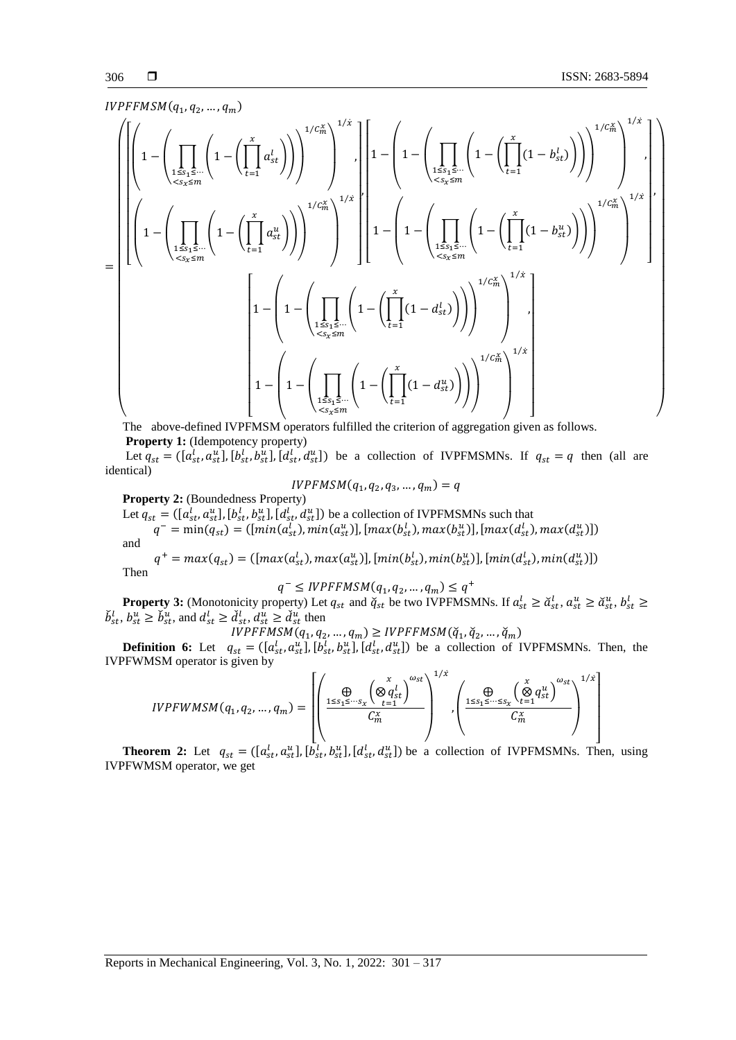$$
IVPFFMSM(q_1,q_2,\ldots,q_m)
$$

$$
\left(\left[1-\left(\prod_{1\leq s_{1}\leq...\atop < s_{2}\leq m}\left(1-\left(\prod_{t=1}^{x}a_{st}^{l}\right)\right)\right)^{1/C_{m}^{\chi}}\right)^{1/\chi}\right)\right]^{1/\chi} \left[\left[1-\left(1-\left(\prod_{1\leq s_{1}\leq...\atop < s_{2}\leq m}\left(1-\left(\prod_{t=1}^{x}a_{st}\right)\right)\right)\right)^{1/C_{m}^{\chi}}\right)^{1/\chi}\right]^{1/\chi}\right]^{1/\chi}\right]^{1/\chi} \left(\left[1-\left(\prod_{1\leq s_{1}\leq...\atop < s_{2}\leq m}\left(1-\left(\prod_{t=1}^{x}a_{st}\right)\right)\right)\right)^{1/C_{m}^{\chi}}\right)^{1/\chi}\right]^{1/\chi}\right)^{1/\chi}\right)^{1/\chi}\left(\left[1-\left(1-\left(\prod_{1\leq s_{1}\leq...\atop < s_{2}\leq m}\left(1-\left(\prod_{t=1}^{x}a_{st}\right)\right)\right)\right)^{1/C_{m}^{\chi}}\right)^{1/\chi}\right)^{1/\chi}\right)^{1/\chi}\right)^{1/\chi}\right)^{1/\chi}\right)^{1/\chi}\right)^{1/\chi}\right)^{1/\chi}\left(\left[1-\left(1-\left(\prod_{1\leq s_{1}\leq...\atop < s_{2}\leq m}\left(1-\left(\prod_{t=1}^{x}a_{st}\right)\right)\right)\right)^{1/C_{m}^{\chi}}\right)^{1/\chi}\right]^{1/\chi}\right]^{1/\chi}\right)
$$

The above-defined IVPFMSM operators fulfilled the criterion of aggregation given as follows. **Property 1:** (Idempotency property)

Let  $q_{st} = (\left[a_{st}^l, a_{st}^u\right], \left[b_{st}^l, b_{st}^u\right], \left[a_{st}^l, a_{st}^u\right])$  be a collection of IVPFMSMNs. If  $q_{st} = q$  then (all are identical)

$$
IVPFMSM(q_1, q_2, q_3, \dots, q_m) = q
$$

**Property 2:** (Boundedness Property)

Let  $q_{st} = (\lbrack a_{st}^l, a_{st}^u \rbrack, [b_{st}^l, b_{st}^u], [d_{st}^l, d_{st}^u]$  be a collection of IVPFMSMNs such that

 $q^- = \min(q_{st}) = ([min(a_{st}^l), min(a_{st}^u)], [max(b_{st}^l), max(b_{st}^u)], [max(d_{st}^l), max(d_{st}^u)])$ and

 $q^+ = max(q_{st}) = ([max(a_{st}^l), max(a_{st}^u)], [min(b_{st}^l), min(b_{st}^u)], [min(d_{st}^l), min(d_{st}^u)])$ Then

$$
q^- \leq IVPFFMSM(q_1, q_2, \dots, q_m) \leq q^+
$$

**Property 3:** (Monotonicity property) Let  $q_{st}$  and  $\breve{q}_{st}$  be two IVPFMSMNs. If  $a_{st}^l \geq \breve{a}_{st}^l$ ,  $a_{st}^u \geq \breve{a}_{st}^u$ ,  $b_{st}^l \geq$  $\check{b}^l_{st}$ ,  $b^u_{st} \ge \check{b}^u_{st}$ , and  $d^l_{st} \ge \check{d}^l_{st}$ ,  $d^u_{st} \ge \check{d}^u_{st}$  then

$$
IVPFFMSM(q_1, q_2, ..., q_m) \geq IVPFFMSM(\check{q}_1, \check{q}_2, ..., \check{q}_m)
$$

**Definition 6:** Let  $q_{st} = (\begin{bmatrix} a_{st}^l, a_{st}^u \end{bmatrix}, [b_{st}^l, b_{st}^u], [d_{st}^l, d_{st}^u] )$  be a collection of IVPFMSMNs. Then, the IVPFWMSM operator is given by

$$
IVPFWMSM(q_1, q_2, ..., q_m) = \left[ \left( \frac{\bigoplus \limits_{1 \leq s_1 \leq \cdots s_x} \left( \bigotimes \limits_{t=1}^x q_{st}^l \right)^{\omega_{st}}}{C_m^x} \right)^{1/x}, \left( \frac{\bigoplus \limits_{1 \leq s_1 \leq \cdots \leq s_x} \left( \bigotimes \limits_{t=1}^x q_{st}^u \right)^{\omega_{st}}}{C_m^x} \right)^{1/x} \right]
$$

**Theorem 2:** Let  $q_{st} = (\left[a_{st}^l, a_{st}^u\right], \left[b_{st}^l, b_{st}^u\right], \left[d_{st}^l, d_{st}^u\right])$  be a collection of IVPFMSMNs. Then, using IVPFWMSM operator, we get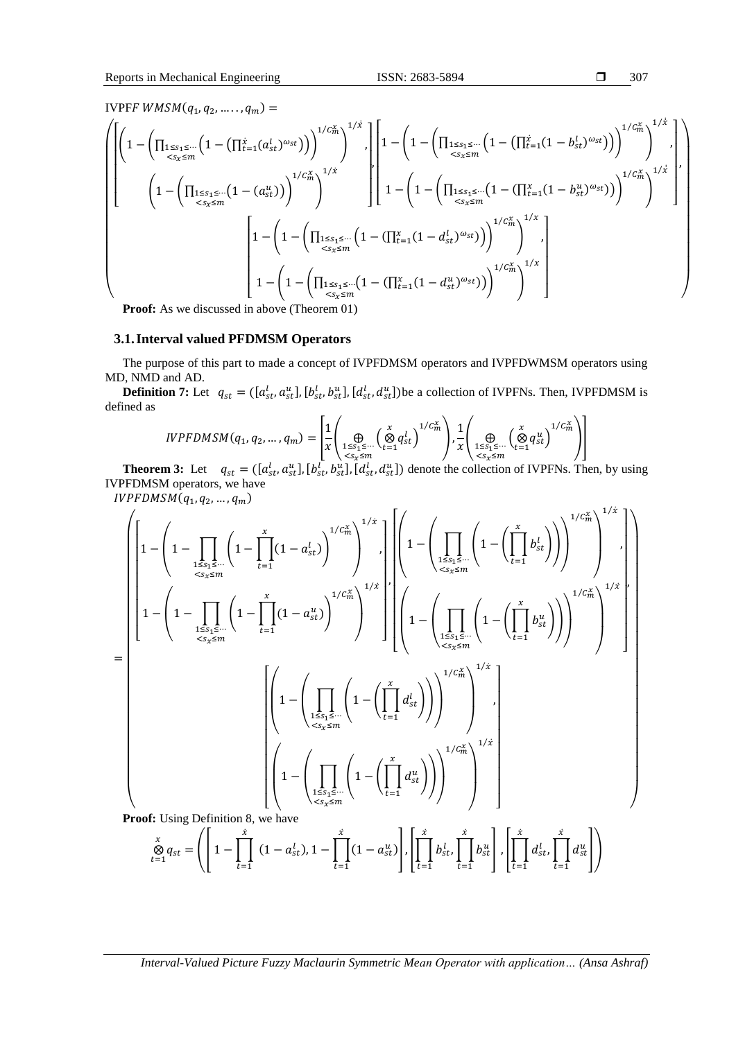$$
\Box \qquad 307
$$

IVPFF  $WMSM(q_1, q_2, \ldots, q_m) =$ 

$$
\left\{\begin{bmatrix}\n\left(1 - \left(\prod_{\substack{1 \leq s_1 \leq \cdots \leq s_r\\s_s \leq m}} \left(1 - \left(\prod_{\substack{t=1\\i \leq s_i \leq m}} \left(1 - \left(\prod_{\substack{t=1\\i \leq s_i \leq m}} \left(1 - \left(\prod_{\substack{t=1\\i \leq s_i \leq m}} \left(1 - \left(\prod_{\substack{t=1\\i \leq s_i \leq m}} \left(1 - \left(\prod_{\substack{t=1\\i \leq s_i \leq m}} \left(1 - \left(\prod_{\substack{t=1\\i \leq s_i \leq m}} \left(1 - \left(\prod_{\substack{t=1\\i \leq s_i \leq m}} \left(1 - \left(\prod_{\substack{t=1\\i \leq s_i \leq m}} \left(1 - \left(\prod_{\substack{t=1\\i \leq s_i \leq m}} \left(1 - \left(\prod_{\substack{t=1\\i \leq s_i \leq m}} \left(1 - \left(\prod_{\substack{t=1\\i \leq s_i \leq m}} \left(1 - \left(\prod_{\substack{t=1\\i \leq s_i \leq m}} \left(1 - \left(\prod_{\substack{t=1\\i \leq s_i \leq m}} \left(1 - \left(\prod_{\substack{t=1\\i \leq s_i \leq m}} \left(1 - \left(\prod_{\substack{t=1\\i \leq s_i \leq m}} \left(1 - \left(\prod_{\substack{t=1\\i \leq s_i \leq m}} \left(1 - \left(\prod_{\substack{t=1\\i \leq t_i \leq m}} \left(1 - \left(\prod_{\substack{t=1\\i \leq t_i \leq m}} \left(1 - \left(\prod_{\substack{t=1\\i \leq t_i \leq m}} \left(1 - \left(\prod_{\substack{t=1\\i \leq t_i \leq m}} \left(1 - \left(\prod_{\substack{t=1\\i \leq t_i \leq m}} \left(1 - \left(\prod_{\substack{t=1\\i \leq t_i \leq m}} \left(1 - \left(\prod_{\substack{t=1\\i \leq t_i \leq m}} \left(1 - \left(\prod_{\substack{t=1\\i \leq t_i \leq m}} \left(1 - \left(\prod_{\substack{
$$

**Proof:** As we discussed in above (Theorem 01)

#### **3.1.Interval valued PFDMSM Operators**

The purpose of this part to made a concept of IVPFDMSM operators and IVPFDWMSM operators using MD, NMD and AD.

**Definition 7:** Let  $q_{st} = (\lbrack a_{st}^l, a_{st}^u \rbrack, [b_{st}^l, b_{st}^u], [d_{st}^l, d_{st}^u])$  be a collection of IVPFNs. Then, IVPFDMSM is defined as  $\mathbf{r}$   $\mathbf{r}$  $\Delta$   $\Delta$  $\sqrt{1}$ 

$$
IVPFDMSM(q_1, q_2, ..., q_m) = \left[ \frac{1}{x} \left( \bigoplus_{\substack{1 \leq s_1 \leq ... \\ s \leq s_x \leq m}} \left( \bigotimes_{t=1}^x q_{st}^l \right)^{1/C_m^x} \right), \frac{1}{x} \left( \bigoplus_{\substack{1 \leq s_1 \leq ... \\ s \leq s_x \leq m}} \left( \bigotimes_{t=1}^x q_{st}^u \right)^{1/C_m^x} \right) \right]
$$

**Theorem 3:** Let  $q_{st} = (\begin{bmatrix} a_{st}^l, a_{st}^u \end{bmatrix}, [b_{st}^l, b_{st}^u], [d_{st}^l, d_{st}^u])$  denote the collection of IVPFNs. Then, by using IVPFDMSM operators, we have

 $IVPFDMSM(q_1, q_2, ..., q_m)$ 

$$
\begin{split}\n&= \left[\left(1 - \left(1 - \prod_{\substack{1 \le s_1 \le \dots \\ s_s \le m}} \left(1 - \prod_{t=1}^x (1 - a_{st}^l)\right)^{1/C_m^x}\right)^{1/x}\right) \right] \left[\left(1 - \left(\prod_{\substack{1 \le s_1 \le \dots \\ s_s \le m}} \left(1 - \left(\prod_{t=1}^x b_{st}^l\right)\right)\right)^{1/C_m^x}\right)^{1/x}\right] \right] \\
&= \left[\left(1 - \left(1 - \prod_{\substack{1 \le s_1 \le \dots \\ s_s \le m}} \left(1 - \prod_{t=1}^x (1 - a_{st}^u)\right)^{1/C_m^x}\right)^{1/x}\right] \right] \left[\left(1 - \left(\prod_{\substack{1 \le s_1 \le \dots \\ s_s \le m}} \left(1 - \left(\prod_{t=1}^x b_{st}^u\right)\right)\right)^{1/C_m^x}\right)^{1/x}\right] \right]\n\end{split}
$$
\n
$$
\left[\left(1 - \left(\prod_{\substack{1 \le s_1 \le \dots \\ s_s \le m}} \left(1 - \left(\prod_{t=1}^x d_{st}^l\right)\right)\right)^{1/C_m^x}\right)^{1/x}\right] \left[\left(1 - \left(\prod_{t=1}^x d_{st}^u\right)\right)^{1/C_m^x}\right] \left[\left(1 - \left(\prod_{t=1}^x d_{st}^u\right)\right)\right] \left[\left(1 - \left(\prod_{t=1}^x d_{st}^u\right)\right)\right] \right] \left[\left(1 - \left(\prod_{t=1}^x d_{st}^u\right)\right)\right] \left[\left(1 - \left(\prod_{t=1}^x d_{st}^u\right)\right)\right] \left[\left(1 - \left(\prod_{t=1}^x d_{st}^u\right)\right)\right] \left[\left(1 - \left(\prod_{t=1}^x d_{st}^u\right)\right)\right] \left[\left(1 - \left(\prod_{t=1}^x d_{st}^u\right)\right)\right] \left[\left(1 - \left(\prod_{t=1}^x d_{st}^u\right)\right)\right] \left[\left(1 - \left(\prod_{t=1}^x d_{st}^u\right)\right)\right] \left[\left(1 - \left(\prod_{t=1}
$$

$$
\bigotimes_{t=1}^{x} q_{st} = \left( \left[ 1 - \prod_{t=1}^{x} (1 - a_{st}^{l}), 1 - \prod_{t=1}^{x} (1 - a_{st}^{u}) \right], \left[ \prod_{t=1}^{x} b_{st}^{l}, \prod_{t=1}^{x} b_{st}^{u} \right], \left[ \prod_{t=1}^{x} d_{st}^{l}, \prod_{t=1}^{x} d_{st}^{u} \right] \right)
$$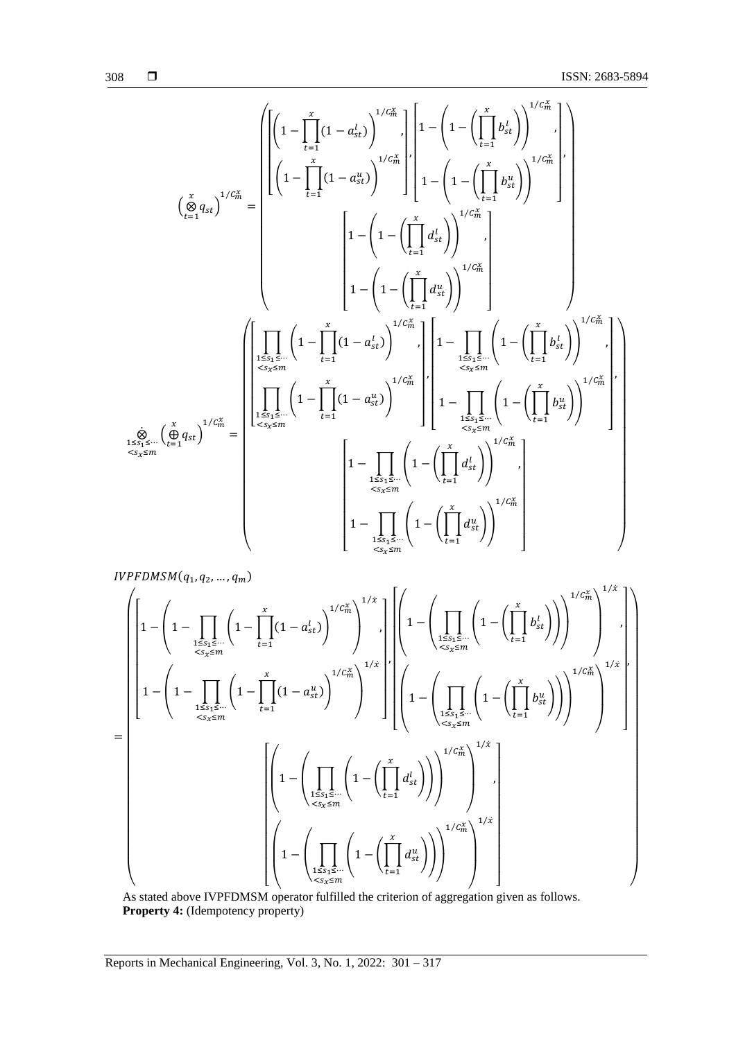$$
308 \qquad \Box
$$

$$
\left(\sum_{t=1}^{x} q_{st}\right)^{1/C_m^{\chi}} = \left[\left(1 - \prod_{t=1}^{x} (1 - a_{st}^l)\right)^{1/C_m^{\chi}}\right] \left[1 - \left(1 - \left(\prod_{t=1}^{x} b_{st}^l\right)\right)^{1/C_m^{\chi}}\right] \right]
$$
\n
$$
\left(\sum_{t=1}^{x} q_{st}\right)^{1/C_m^{\chi}} = \left[\left(1 - \prod_{t=1}^{x} (1 - a_{st}^u)\right)^{1/C_m^{\chi}}\right] \left[1 - \left(1 - \left(\prod_{t=1}^{x} d_{st}^l\right)\right)^{1/C_m^{\chi}}\right]
$$
\n
$$
\left[1 - \left(1 - \left(\prod_{t=1}^{x} d_{st}^l\right)\right)^{1/C_m^{\chi}}\right]
$$
\n
$$
1 - \left(1 - \left(\prod_{t=1}^{x} d_{st}^l\right)\right)^{1/C_m^{\chi}}\right]
$$
\n
$$
\left[1 - \left(1 - \left(\prod_{t=1}^{x} d_{st}^l\right)\right)^{1/C_m^{\chi}}\right]
$$
\n
$$
\left[\prod_{\substack{1 \le s_1 \le \dots \\ s_k \le m}} \left(1 - \prod_{t=1}^{x} (1 - a_{st}^l)\right)^{1/C_m^{\chi}}\right] \left[1 - \prod_{\substack{1 \le s_1 \le \dots \\ s_k \le m}} \left(1 - \left(\prod_{t=1}^{x} b_{st}^l\right)\right)^{1/C_m^{\chi}}\right]
$$
\n
$$
\left[\prod_{\substack{s_1 \le s_1 \le \dots \\ s_k \le m}} \left(1 - \prod_{t=1}^{x} (1 - a_{st}^u)\right)^{1/C_m^{\chi}}\right] \left[1 - \prod_{\substack{1 \le s_1 \le \dots \\ s_k \le m}} \left(1 - \left(\prod_{t=1}^{x} d_{st}^l\right)\right)^{1/C_m^{\chi}}\right]
$$
\n
$$
\left[1 - \prod_{\substack{1 \le s_1 \le \dots \\ s_k \le m}} \left(1 - \left(\prod_{t=1}^{x} d_{st}^u\right)\right)^{1/C_m^{\chi}}\right]
$$

 $IVPFDMSM(q_1, q_2, ..., q_m)$ =  $\bigwedge$ L L L L L L L L L L L L L L L L L L L  $\overline{a}$ I ł ł ł ł ł  $|1 -$ I  $\bigwedge$  $\left(1 - \left| \begin{array}{c} \end{array}\right| \left|1 - \left| \begin{array}{c} \end{array}\right| \left(1 - a_{st}^l\right)\right|$  $\boldsymbol{\chi}$  $t=1$ )  $1/C_m^x$ 1≤s<sub>1</sub> ≤… \  $\overline{t}$  = 1  $\qquad$  /  $\Big\}$  <s<sub>x</sub> ≤ m  $\overline{\phantom{a}}$  $1/\dot{x}$ , 1−  $\overline{\phantom{a}}$  $\left(1 - \left| \begin{array}{c} \left| 1 - \right| & \left(1 - a_{st}^u\right) \end{array}\right|\right)$  $\boldsymbol{\chi}$  $t=1$ )  $1/C_m^x$ 1≤s<sub>1</sub>≤… \ t=1 / / <br>
<s<sub>x</sub>≤m  $\overline{\phantom{a}}$  $1/\dot{x}$  $\overline{\phantom{a}}$  $\overline{\phantom{a}}$  $\overline{\phantom{a}}$  $\overline{\phantom{a}}$  $\overline{\phantom{a}}$  $\overline{\phantom{a}}$  $\overline{\phantom{a}}$  $\overline{\phantom{a}}$  $\overline{\phantom{a}}$ ,  $\lfloor$ I ł ł ł ł ł ł ł ł I  $\bigwedge$ L  $\vert 1 \bigwedge$  ∏ (1 − (∏  $\boldsymbol{\chi}$  $t=1$ ))  $\frac{1\leq s_1\leq \cdots}{s_s\leq m}$   $\left(\frac{t-1}{t-1}\right)$  $\overline{\phantom{a}}$  $1/C_m^{\chi}$  $\overline{\phantom{a}}$  $\overline{\phantom{a}}$  $\overline{\phantom{a}}$  $1/\dot{x}$ ,  $\bigwedge$ L  $\vert 1 \bigwedge$  ∏ (1− (∏  $\boldsymbol{\chi}$  $t=1$ ))  $\frac{1\bar{s}s_1\bar{s}\cdots}{\langle s_x\leq m\rangle}$   $\left\langle \frac{\bar{t}=1}{\bar{t}=1} \right\rangle$  $\overline{\phantom{a}}$  $1/C_m^x$  $\overline{\phantom{a}}$  $\overline{\phantom{a}}$  $\overline{\phantom{a}}$  $1/\dot{x}$  $\overline{\phantom{a}}$  $\overline{\phantom{a}}$  $\overline{\phantom{a}}$  $\overline{\phantom{a}}$  $\overline{\phantom{a}}$  $\overline{\phantom{a}}$  $\overline{\phantom{a}}$  $\overline{\phantom{a}}$  $\cdot$  $\overline{\phantom{a}}$  $\overline{\phantom{a}}$ ,  $\lfloor$ I I ł ł ł ł I ł ł I  $\bigwedge$ L L 1−  $\bigwedge$  ∏ (1 −(∏  $\boldsymbol{\chi}$  $t=1$ )) 1≤ $s_1$ ≤…  $\langle s_x \leq m \rangle$   $\langle s_x \rangle$  $\overline{\phantom{a}}$  $1/C_m^x$ )  $\overline{\phantom{a}}$  $\overline{\phantom{a}}$  $1/\dot{x}$ ,  $\left\langle \begin{array}{ccc} & & \sqrt{2} & & \sqrt{2} & \\ & & \sqrt{2} & & \sqrt{2} & \\ & & \sqrt{2} & & \sqrt{2} & \\ & & \sqrt{2} & & \sqrt{2} & \\ & & & \sqrt{2} & & \sqrt{2} & \\ & & & & \sqrt{2} & & \\ & & & & \sqrt{2} & & \\ & & & & & \sqrt{2} & & \\ & & & & & & \sqrt{2} & \\ & & & & & & & \sqrt{2} & \\ & & & & & & & & \sqrt{2} \\ & & & & & & & & & \sqrt{2} \\ & & & & & & & & & \sqrt{2} & \\ & & & & & & & & & \sqrt{2} & \\ & & &$ L L 1 −  $\bigwedge$  $\Bigg(1-\Bigg($  $\boldsymbol{u}$  $\left\langle x \right\rangle \left\langle \right\rangle^{1/C_m^x}$  $t=1$ ))  $1≤s<sub>1</sub>≤…$  $\langle s_x \leq m \rangle$   $\langle s_x \rangle$  $\overline{\phantom{a}}$  $\overline{\phantom{a}}$  $\overline{\phantom{a}}$  $\overline{1}$ I I  $\overline{\phantom{a}}$  $\overline{\phantom{a}}$  $\overline{\phantom{a}}$  $\overline{\phantom{a}}$ I  $\overline{\phantom{a}}$  $\overline{\phantom{a}}$  $\overline{\phantom{a}}$  $\overline{\phantom{a}}$  $\overline{\phantom{a}}$  $\overline{\phantom{a}}$  $\overline{\phantom{a}}$  $\overline{\phantom{a}}$  $\overline{\phantom{a}}$  $\overline{\phantom{a}}$  $\overline{\phantom{a}}$  $\overline{\phantom{a}}$  $\overline{\phantom{a}}$  $\overline{\phantom{a}}$  $\overline{\phantom{a}}$  $\overline{\phantom{a}}$  $\overline{\phantom{a}}$  $\overline{\phantom{a}}$  $\overline{\phantom{a}}$  $\overline{\phantom{a}}$  $\overline{\phantom{a}}$  $\overline{\phantom{a}}$  $\overline{\phantom{a}}$ 

As stated above IVPFDMSM operator fulfilled the criterion of aggregation given as follows. **Property 4:** (Idempotency property)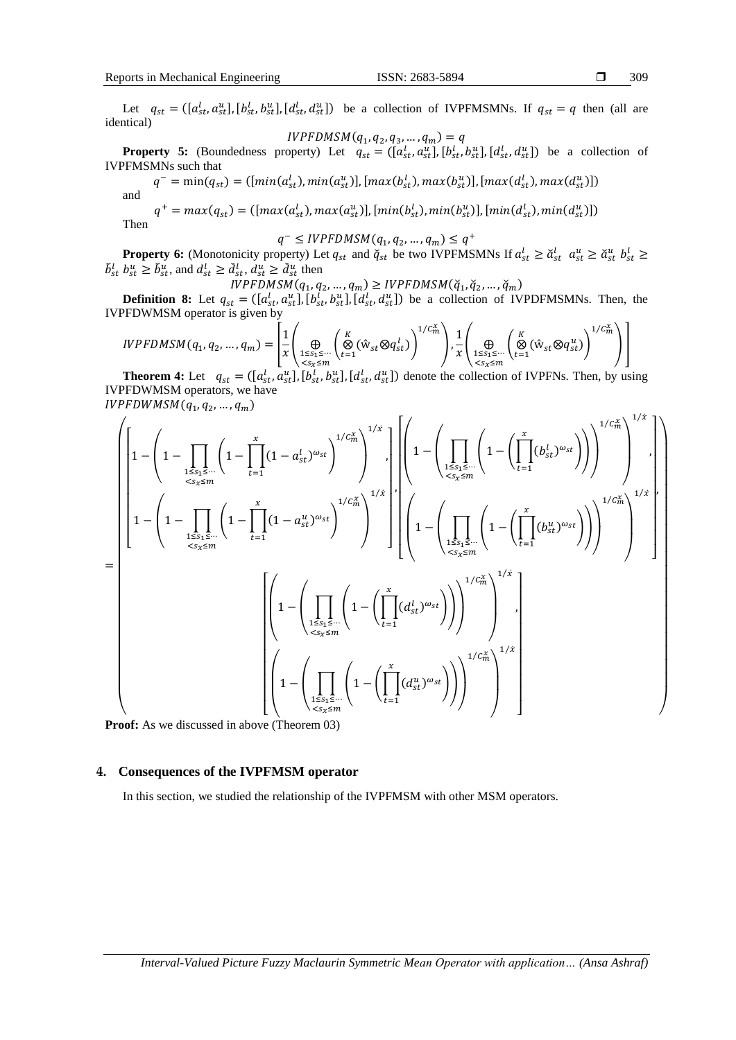Let  $q_{st} = (\left[a_{st}^l, a_{st}^u\right], \left[b_{st}^l, b_{st}^u\right], \left[d_{st}^l, d_{st}^u\right])$  be a collection of IVPFMSMNs. If  $q_{st} = q$  then (all are identical)

$$
IVPFDMSM(q_1, q_2, q_3, \dots, q_m) = q
$$

**Property 5:** (Boundedness property) Let  $q_{st} = (\left[a_{st}^l, a_{st}^u\right], \left[b_{st}^l, b_{st}^u\right], \left[d_{st}^l, d_{st}^u\right])$  be a collection of IVPFMSMNs such that

 $q^- = \min(q_{st}) = ([min(a_{st}^l), min(a_{st}^u)], [max(b_{st}^l), max(b_{st}^u)], [max(d_{st}^l), max(d_{st}^u)])$ and

 $q^+ = max(q_{st}) = ([max(a_{st}^l), max(a_{st}^u)], [min(b_{st}^l), min(b_{st}^u)], [min(d_{st}^l), min(d_{st}^u)])$ 

Then

$$
q^- \leq IVPFDMSM(q_1, q_2, \dots, q_m) \leq q^+
$$

**Property 6:** (Monotonicity property) Let  $q_{st}$  and  $\check{q}_{st}$  be two IVPFMSMNs If  $a_{st}^l \geq \check{a}_{st}^l$   $a_{st}^u \geq \check{a}_{st}^u$   $b_{st}^l \geq$  $\check{b}_{st}^l b_{st}^u \ge \check{b}_{st}^u$ , and  $d_{st}^l \ge \check{d}_{st}^l$ ,  $d_{st}^u \ge \check{d}_{st}^u$  then

 $IVPFDMSM(q_1, q_2, ..., q_m) \geq IVPFDMSM(\check{q}_1, \check{q}_2, ..., \check{q}_m)$ 

**Definition 8:** Let  $q_{st} = (\left[a_{st}^l, a_{st}^u\right], \left[b_{st}^l, b_{st}^u\right], \left[d_{st}^l, d_{st}^u\right])$  be a collection of IVPDFMSMNs. Then, the IVPFDWMSM operator is given by

$$
IVPFDMSM(q_1, q_2, ..., q_m) = \left[ \frac{1}{x} \left( \bigoplus_{1 \leq s_1 \leq ...} \left( \bigotimes_{t=1}^K (\hat{w}_{st} \otimes q_{st}^l) \right)^{1/c_m^x} \right), \frac{1}{x} \left( \bigoplus_{1 \leq s_1 \leq ...} \left( \bigotimes_{t=1}^K (\hat{w}_{st} \otimes q_{st}^u) \right)^{1/c_m^x} \right) \right]
$$

**Theorem 4:** Let  $q_{st} = (\begin{bmatrix} a_{st}^l, a_{st}^u \end{bmatrix}, [b_{st}^l, b_{st}^u], [d_{st}^l, d_{st}^u] )$  denote the collection of IVPFNs. Then, by using IVPFDWMSM operators, we have  $IVPFDWMSM(q_1, q_2, ..., q_m)$ 

 $\Gamma$ 

$$
= \left[\left[1 - \left(1 - \prod_{\substack{1 \leq s_1 \leq \cdots \\ s_s \leq m}} \left(1 - \prod_{t=1}^{x} (1 - a_{st}^{l})^{\omega_{st}}\right)^{1/c_m^{x}}\right)^{1/x}\right] \left[\left(1 - \left(\prod_{\substack{1 \leq s_1 \leq \cdots \\ s_s \leq m}} \left(1 - \prod_{t=1}^{x} (b_{st}^{l})^{\omega_{st}}\right)\right)\right)^{1/c_m^{x}}\right]^{1/x}\right] \right]\right]
$$
\n
$$
= \left[\left(1 - \left(1 - \prod_{\substack{1 \leq s_1 \leq \cdots \\ s_s \leq m}} \left(1 - \prod_{t=1}^{x} (1 - a_{st}^{u})^{\omega_{st}}\right)^{1/c_m^{x}}\right)^{1/x}\right] \left[\left(1 - \left(\prod_{\substack{1 \leq s_1 \leq \cdots \\ s_s \leq m}} \left(1 - \left(\prod_{t=1}^{x} (b_{st}^{u})^{\omega_{st}}\right)\right)\right)^{1/c_m^{x}}\right)\right]^{1/x}\right]
$$
\n
$$
\left[\left(1 - \left(\prod_{\substack{1 \leq s_1 \leq \cdots \\ s_s \leq m}} \left(1 - \left(\prod_{t=1}^{x} (d_{st}^{l})^{\omega_{st}}\right)\right)\right)^{1/c_m^{x}}\right)^{1/x}\right]
$$
\n
$$
\left[\left(1 - \left(\prod_{\substack{1 \leq s_1 \leq \cdots \\ s_s \leq m}} \left(1 - \left(\prod_{t=1}^{x} (d_{st}^{u})^{\omega_{st}}\right)\right)\right)^{1/c_m^{x}}\right)^{1/x}\right]
$$

**Proof:** As we discussed in above (Theorem 03)

#### **4. Consequences of the IVPFMSM operator**

In this section, we studied the relationship of the IVPFMSM with other MSM operators.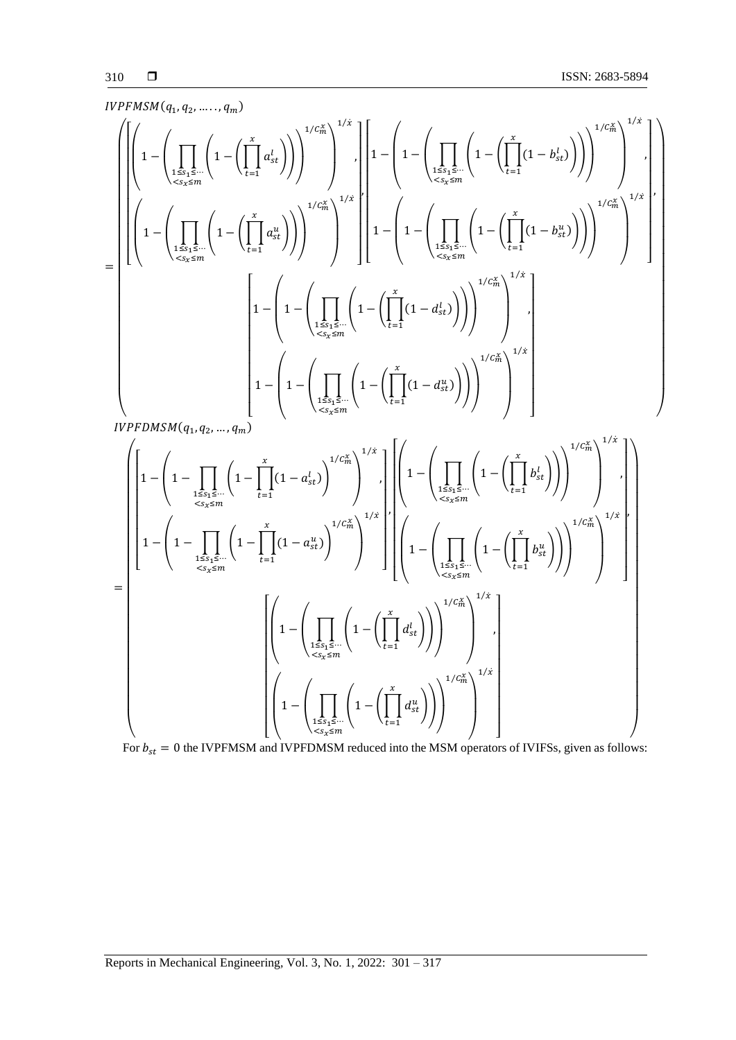$$
IVPHMSM(q_{1},q_{2},\ldots,q_{m})
$$
\n
$$
\left\{\left|\left(1-\left(\prod_{\substack{1\leq k_{1}\leq \cdots k_{r}\leq m \\ < s_{2},s,m}}\left(1-\left(\prod_{\substack{t=1}^{x}\alpha_{st}^{t}\right)\right)\right)^{1/\tilde{C}_{m}^{k}}\right)^{1/k}\right|, \left|\left(1-\left(\prod_{\substack{1\leq k_{1}\leq \cdots \leq k_{r}\leq m \\ < s_{2},s,m}}\left(1-\left(\prod_{\substack{t=1}^{x}\alpha_{st}^{t}\right)\right)\right)^{1/\tilde{C}_{m}^{k}}\right)^{1/k}\right|\right|^{1/k}\right\}\right|^{1/k}
$$
\n
$$
\left|\left(1-\left(\prod_{\substack{1\leq k_{2}\leq \cdots \leq k_{r}\leq m \\ < s_{2},s,m}}\left(1-\left(\prod_{\substack{t=1}^{x}\alpha_{st}^{t}\right)\right)\right)^{1/\tilde{C}_{m}^{k}}\right)^{1/k}\right|^{1/k}\right|^{1/k}
$$
\n
$$
\left|\left(1-\left(1-\left(\prod_{\substack{1\leq k_{2}\leq \cdots \leq k_{r}\leq m \\ < s_{2},s,m}}\left(1-\left(\prod_{\substack{t=1\\ \cdots s_{2},s,m}}\left(1-\left(\prod_{\substack{t=1\\ \cdots s_{2},s,m}}\left(1-\left(\prod_{\substack{t=1\\ \cdots s_{2},s,m}}\left(1-\left(\prod_{\substack{t=1\\ \cdots s_{2},s,m}}\left(1-\left(\prod_{\substack{t=1\\ \cdots s_{2},s,m}}\left(1-\left(\prod_{\substack{t=1\\ \cdots s_{2},s,m}}\left(1-\left(\prod_{\substack{t=1\\ \cdots s_{2},s,m}}\left(1-\left(\prod_{\substack{t=1\\ \cdots s_{2},s,m}}\left(1-\left(\prod_{\substack{t=1\\ \cdots s_{2},s,m}}\left(1-\left(\prod_{\substack{t=1\\ \cdots s_{2},s,m}}\left(1-\left(\prod_{\substack{t=1\\ \cdots s_{2},s,m}}\left(1-\left(\prod_{\substack{t=1\\ \cdots s_{2},s,m}}\left(1-\left(\prod
$$

For  $b_{st} = 0$  the IVPFMSM and IVPFDMSM reduced into the MSM operators of IVIFSs, given as follows: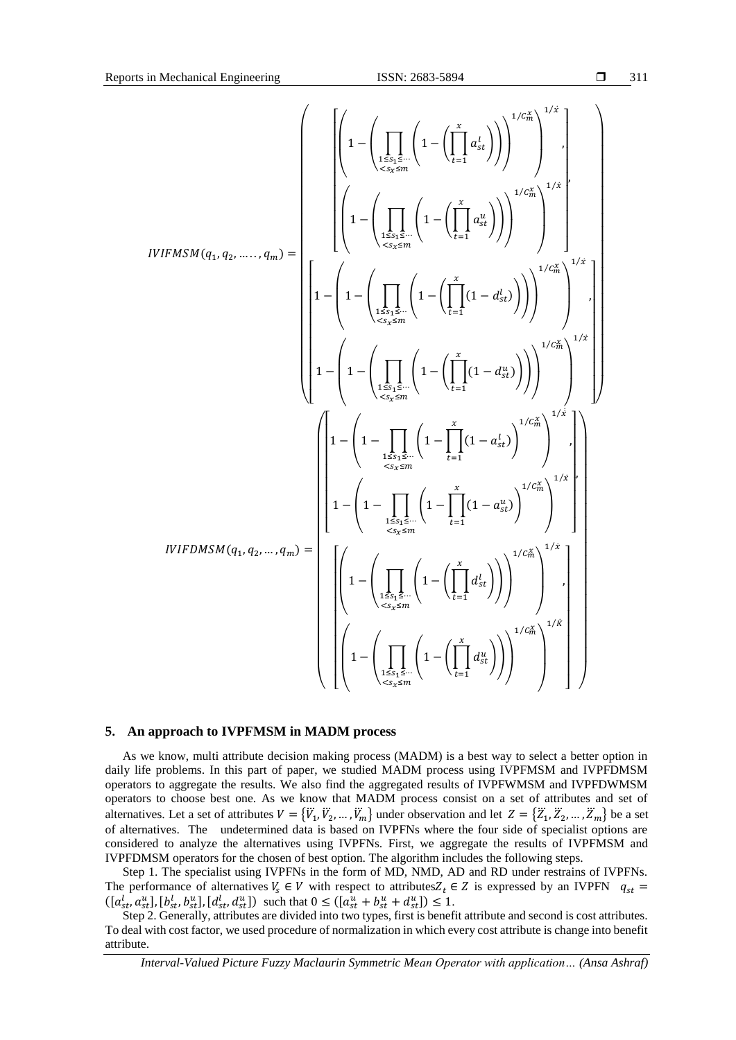$$
IVIFMSM(q_{1}, q_{2}, \ldots, q_{m}) = \left[\left(1 - \left(\prod_{\substack{1 \leq s_{1} \leq \cdots \leq r_{1} \\ < s_{2} \leq m}} \left(1 - \left(\prod_{\substack{t=1 \\ t \leq s_{1} \leq \cdots \leq r_{1} \\ < s_{2} \leq m}} \left(1 - \left(\prod_{\substack{t=1 \\ t \leq t_{1} \leq \cdots \leq r_{1} \\ < s_{2} \leq m}} \left(1 - \left(\prod_{\substack{t=1 \\ t \leq t_{1} \leq \cdots \leq r_{1} \\ < s_{2} \leq m}} \left(1 - \left(\prod_{\substack{t=1 \\ t \leq t_{1} \leq \cdots \leq r_{1} \\ < s_{2} \leq m}} \left(1 - \left(\prod_{\substack{t=1 \\ t \leq t_{1} \leq \cdots \leq r_{1} \\ < s_{2} \leq m}} \left(1 - \left(\prod_{\substack{t=1 \\ t \leq t_{1} \leq \cdots \leq r_{1} \\ < s_{2} \leq m}} \left(1 - \left(\prod_{\substack{t=1 \\ t \leq t_{1} \leq \cdots \leq r_{1} \\ < s_{1} \leq \cdots \leq r_{1} \leq \cdots \leq r_{1} \leq \cdots \leq r_{1} \\ < s_{2} \leq m_{1} \right(1 \right) \right)\right)^{1/C_{m}^{X}}\right)^{1/\hat{\epsilon}}\right)\right]^{1/\hat{\epsilon}}_{n}
$$
\n
$$
IVIFDMSM(q_{1}, q_{2}, \ldots, q_{m}) = \left[\left(1 - \left(1 - \prod_{\substack{t \leq s_{1} \leq \cdots \leq r_{1} \\ < s_{2} \leq \cdots \leq r_{1} \\ < s_{2} \leq \cdots \leq r_{1} \leq \cdots \leq r_{1} \leq \cdots \right(1 - \left(\prod_{\substack{t=1 \\ t \leq t_{1} \leq \cdots \leq r_{1} \right)}} \left(1 - \left(\prod_{\substack{t=1 \\ t \leq \cdots \leq \cdots \leq r_{1} \\ < s_{2} \leq \cdots \leq r_{1} \leq \cdots \leq r_{1} \leq \cdots \le
$$

#### **5. An approach to IVPFMSM in MADM process**

As we know, multi attribute decision making process (MADM) is a best way to select a better option in daily life problems. In this part of paper, we studied MADM process using IVPFMSM and IVPFDMSM operators to aggregate the results. We also find the aggregated results of IVPFWMSM and IVPFDWMSM operators to choose best one. As we know that MADM process consist on a set of attributes and set of alternatives. Let a set of attributes  $V = \{V_1, V_2, ..., V_m\}$  under observation and let  $Z = \{Z_1, Z_2, ..., Z_m\}$  be a set of alternatives. The undetermined data is based on IVPFNs where the four side of specialist options are considered to analyze the alternatives using IVPFNs. First, we aggregate the results of IVPFMSM and IVPFDMSM operators for the chosen of best option. The algorithm includes the following steps.

Step 1. The specialist using IVPFNs in the form of MD, NMD, AD and RD under restrains of IVPFNs. The performance of alternatives  $V_s \in V$  with respect to attributes  $Z_t \in Z$  is expressed by an IVPFN  $q_{st} =$  $([a_{st}^l, a_{st}^u], [b_{st}^l, b_{st}^u], [d_{st}^l, d_{st}^u])$  such that  $0 \leq ([a_{st}^u + b_{st}^u + d_{st}^u]) \leq 1$ .

Step 2. Generally, attributes are divided into two types, first is benefit attribute and second is cost attributes. To deal with cost factor, we used procedure of normalization in which every cost attribute is change into benefit attribute.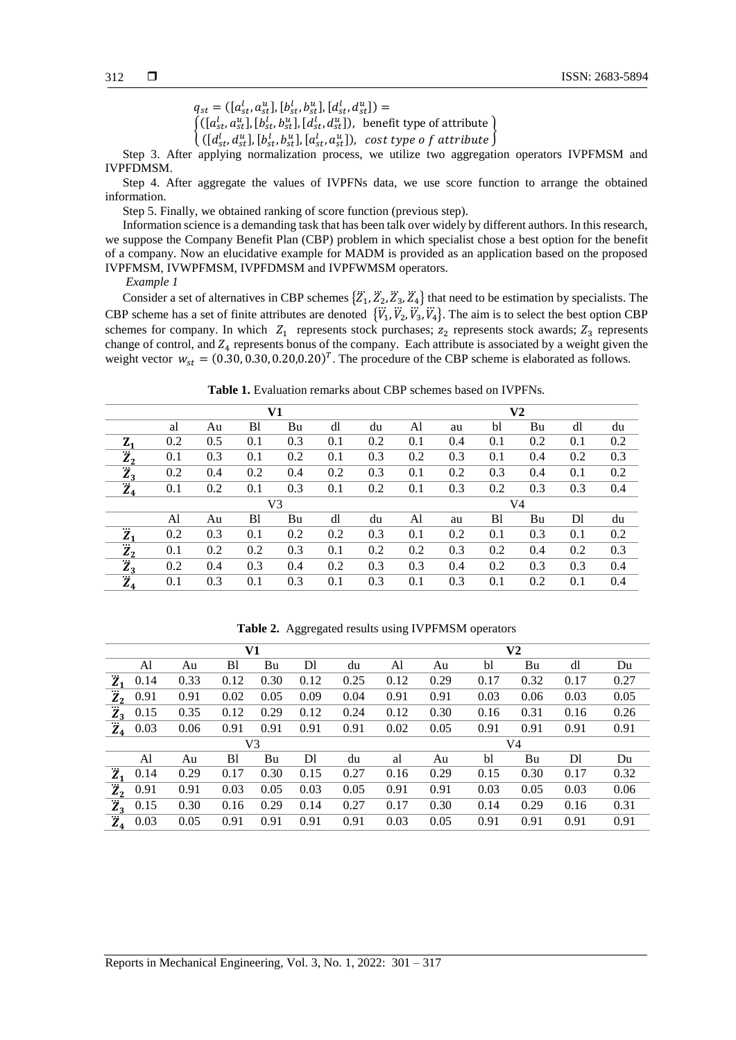$q_{st} = ([a_{st}^l, a_{st}^u], [b_{st}^l, b_{st}^u], [d_{st}^l, d_{st}^u]) =$ 

 $([a_{st}^l, a_{st}^u], [b_{st}^l, b_{st}^u], [d_{st}^l, d_{st}^u]),$  benefit type of attribute

 $\{([d_{st}^l, d_{st}^u], [b_{st}^l, b_{st}^u], [a_{st}^l, a_{st}^u]), \text{ cost type of attribute}\}\$ 

Step 3. After applying normalization process, we utilize two aggregation operators IVPFMSM and IVPFDMSM.

Step 4. After aggregate the values of IVPFNs data, we use score function to arrange the obtained information.

Step 5. Finally, we obtained ranking of score function (previous step).

Information science is a demanding task that has been talk over widely by different authors. In this research, we suppose the Company Benefit Plan (CBP) problem in which specialist chose a best option for the benefit of a company. Now an elucidative example for MADM is provided as an application based on the proposed IVPFMSM, IVWPFMSM, IVPFDMSM and IVPFWMSM operators.

*Example 1*

Consider a set of alternatives in CBP schemes  $\{\ddot{Z}_1, \ddot{Z}_2, \ddot{Z}_3, \ddot{Z}_4\}$  that need to be estimation by specialists. The CBP scheme has a set of finite attributes are denoted  $\{\ddot{V}_1, \ddot{V}_2, \ddot{V}_3, \ddot{V}_4\}$ . The aim is to select the best option CBP schemes for company. In which  $Z_1$  represents stock purchases;  $Z_2$  represents stock awards;  $Z_3$  represents change of control, and  $Z_4$  represents bonus of the company. Each attribute is associated by a weight given the weight vector  $w_{st} = (0.30, 0.30, 0.20, 0.20)^T$ . The procedure of the CBP scheme is elaborated as follows.

**Table 1.** Evaluation remarks about CBP schemes based on IVPFNs.

|               | V1  |     |                |     |     |     |     |     | $\bf V2$ |     |     |     |
|---------------|-----|-----|----------------|-----|-----|-----|-----|-----|----------|-----|-----|-----|
|               | al  | Au  | B <sub>1</sub> | Bu  | dl  | du  | Al  | au  | bl       | Bu  | dl  | du  |
| $Z_1$         | 0.2 | 0.5 | 0.1            | 0.3 | 0.1 | 0.2 | 0.1 | 0.4 | 0.1      | 0.2 | 0.1 | 0.2 |
| $\dddot{Z}_2$ | 0.1 | 0.3 | 0.1            | 0.2 | 0.1 | 0.3 | 0.2 | 0.3 | 0.1      | 0.4 | 0.2 | 0.3 |
| $\ddot{Z}_3$  | 0.2 | 0.4 | 0.2            | 0.4 | 0.2 | 0.3 | 0.1 | 0.2 | 0.3      | 0.4 | 0.1 | 0.2 |
| $\dddot{Z}_4$ | 0.1 | 0.2 | 0.1            | 0.3 | 0.1 | 0.2 | 0.1 | 0.3 | 0.2      | 0.3 | 0.3 | 0.4 |
|               |     |     |                | V3  |     |     | V4  |     |          |     |     |     |
|               | Al  | Au  | B <sub>1</sub> | Bu  | dl  | du  | Al  | au  | B1       | Bu  | Dl  | du  |
| $\ddot{Z}_1$  | 0.2 | 0.3 | 0.1            | 0.2 | 0.2 | 0.3 | 0.1 | 0.2 | 0.1      | 0.3 | 0.1 | 0.2 |
| $\ddot{Z}_2$  | 0.1 | 0.2 | 0.2            | 0.3 | 0.1 | 0.2 | 0.2 | 0.3 | 0.2      | 0.4 | 0.2 | 0.3 |
| $\dddot{Z}_3$ | 0.2 | 0.4 | 0.3            | 0.4 | 0.2 | 0.3 | 0.3 | 0.4 | 0.2      | 0.3 | 0.3 | 0.4 |
| $\ddot{Z}_4$  | 0.1 | 0.3 | 0.1            | 0.3 | 0.1 | 0.3 | 0.1 | 0.3 | 0.1      | 0.2 | 0.1 | 0.4 |

| V1            |      |      |                |      |      | V <sub>2</sub> |      |      |      |      |              |      |
|---------------|------|------|----------------|------|------|----------------|------|------|------|------|--------------|------|
|               | Al   | Au   | B1             | Bu   | DI   | du             | Al   | Au   | bl   | Bu   | <sub>d</sub> | Du   |
| $\ddot{Z}_1$  | 0.14 | 0.33 | 0.12           | 0.30 | 0.12 | 0.25           | 0.12 | 0.29 | 0.17 | 0.32 | 0.17         | 0.27 |
| $\ddot{Z}_2$  | 0.91 | 0.91 | 0.02           | 0.05 | 0.09 | 0.04           | 0.91 | 0.91 | 0.03 | 0.06 | 0.03         | 0.05 |
| $\ddot{Z}_3$  | 0.15 | 0.35 | 0.12           | 0.29 | 0.12 | 0.24           | 0.12 | 0.30 | 0.16 | 0.31 | 0.16         | 0.26 |
| $\ddot{Z}_4$  | 0.03 | 0.06 | 0.91           | 0.91 | 0.91 | 0.91           | 0.02 | 0.05 | 0.91 | 0.91 | 0.91         | 0.91 |
|               |      |      |                | V3   |      |                | V4   |      |      |      |              |      |
|               | Al   | Au   | B <sub>1</sub> | Bu   | Dl   | du             | al   | Au   | bl   | Bu   | Dl           | Du   |
| $\ddot{Z}_1$  | 0.14 | 0.29 | 0.17           | 0.30 | 0.15 | 0.27           | 0.16 | 0.29 | 0.15 | 0.30 | 0.17         | 0.32 |
| $\dddot{Z}_2$ | 0.91 | 0.91 | 0.03           | 0.05 | 0.03 | 0.05           | 0.91 | 0.91 | 0.03 | 0.05 | 0.03         | 0.06 |
| $\ddot{Z}_3$  | 0.15 | 0.30 | 0.16           | 0.29 | 0.14 | 0.27           | 0.17 | 0.30 | 0.14 | 0.29 | 0.16         | 0.31 |
| $\ddot{Z}_4$  | 0.03 | 0.05 | 0.91           | 0.91 | 0.91 | 0.91           | 0.03 | 0.05 | 0.91 | 0.91 | 0.91         | 0.91 |

**Table 2.** Aggregated results using IVPFMSM operators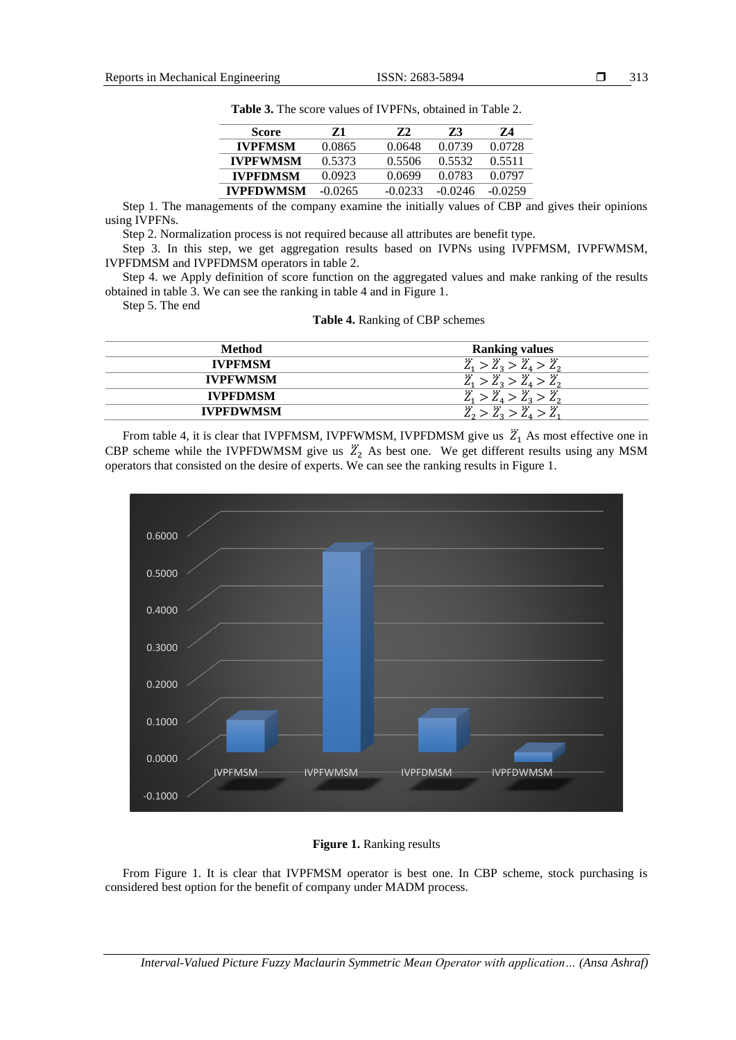| Score            | Z1        | 72      | 73      | 74        |
|------------------|-----------|---------|---------|-----------|
| <b>IVPFMSM</b>   | 0.0865    | 0.0648  | 0.0739  | 0.0728    |
| <b>IVPFWMSM</b>  | 0.5373    | 0.5506  | 0.5532  | 0.5511    |
| <b>IVPFDMSM</b>  | 0.0923    | 0.0699  | 0.0783  | 0.0797    |
| <b>IVPFDWMSM</b> | $-0.0265$ | -0.0233 | -0.0246 | $-0.0259$ |

**Table 3.** The score values of IVPFNs, obtained in Table 2.

Step 1. The managements of the company examine the initially values of CBP and gives their opinions using IVPFNs.

Step 2. Normalization process is not required because all attributes are benefit type.

Step 3. In this step, we get aggregation results based on IVPNs using IVPFMSM, IVPFWMSM, IVPFDMSM and IVPFDMSM operators in table 2.

Step 4. we Apply definition of score function on the aggregated values and make ranking of the results obtained in table 3. We can see the ranking in table 4 and in Figure 1.

Step 5. The end

|  | <b>Table 4.</b> Ranking of CBP schemes |  |  |
|--|----------------------------------------|--|--|
|--|----------------------------------------|--|--|

| <b>Method</b>    | <b>Ranking values</b>                               |
|------------------|-----------------------------------------------------|
| <b>IVPFMSM</b>   | $\ddot{Z}_1 > \ddot{Z}_3 > \ddot{Z}_4 > \ddot{Z}_2$ |
| <b>IVPFWMSM</b>  | $\ddot{Z}_1 > \ddot{Z}_3 > \ddot{Z}_4 > \ddot{Z}_2$ |
| <b>IVPFDMSM</b>  | $\ddot{Z}_1 > \ddot{Z}_4 > \ddot{Z}_3 > \ddot{Z}_2$ |
| <b>IVPFDWMSM</b> | $\ddot{r}$<br>$>\ddot{Z}_4$ .                       |

From table 4, it is clear that IVPFMSM, IVPFWMSM, IVPFDMSM give us  $\mathbb{Z}_1$  As most effective one in CBP scheme while the IVPFDWMSM give us  $\ddot{Z}_2$  As best one. We get different results using any MSM operators that consisted on the desire of experts. We can see the ranking results in Figure 1.



### **Figure 1.** Ranking results

From Figure 1. It is clear that IVPFMSM operator is best one. In CBP scheme, stock purchasing is considered best option for the benefit of company under MADM process.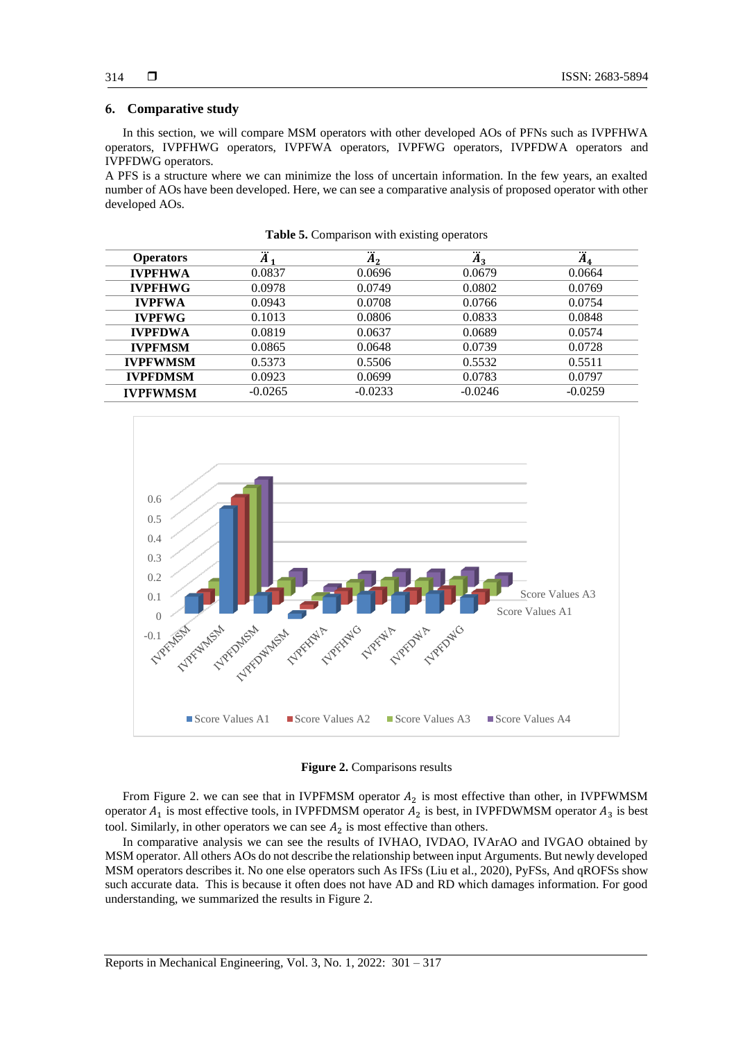#### **6. Comparative study**

In this section, we will compare MSM operators with other developed AOs of PFNs such as IVPFHWA operators, IVPFHWG operators, IVPFWA operators, IVPFWG operators, IVPFDWA operators and IVPFDWG operators.

A PFS is a structure where we can minimize the loss of uncertain information. In the few years, an exalted number of AOs have been developed. Here, we can see a comparative analysis of proposed operator with other developed AOs.

| <b>Operators</b> | $\ddot{A}$ | <br>A,    | $\ddot{A}_3$ | <br>$A_4$ |
|------------------|------------|-----------|--------------|-----------|
| <b>IVPFHWA</b>   | 0.0837     | 0.0696    | 0.0679       | 0.0664    |
| <b>IVPFHWG</b>   | 0.0978     | 0.0749    | 0.0802       | 0.0769    |
| <b>IVPFWA</b>    | 0.0943     | 0.0708    | 0.0766       | 0.0754    |
| <b>IVPFWG</b>    | 0.1013     | 0.0806    | 0.0833       | 0.0848    |
| <b>IVPFDWA</b>   | 0.0819     | 0.0637    | 0.0689       | 0.0574    |
| <b>IVPFMSM</b>   | 0.0865     | 0.0648    | 0.0739       | 0.0728    |
| <b>IVPFWMSM</b>  | 0.5373     | 0.5506    | 0.5532       | 0.5511    |
| <b>IVPFDMSM</b>  | 0.0923     | 0.0699    | 0.0783       | 0.0797    |
| <b>IVPFWMSM</b>  | $-0.0265$  | $-0.0233$ | $-0.0246$    | $-0.0259$ |

**Table 5.** Comparison with existing operators



**Figure 2.** Comparisons results

From Figure 2. we can see that in IVPFMSM operator  $A_2$  is most effective than other, in IVPFWMSM operator  $A_1$  is most effective tools, in IVPFDMSM operator  $A_2$  is best, in IVPFDWMSM operator  $A_3$  is best tool. Similarly, in other operators we can see  $A_2$  is most effective than others.

In comparative analysis we can see the results of IVHAO, IVDAO, IVArAO and IVGAO obtained by MSM operator. All others AOs do not describe the relationship between input Arguments. But newly developed MSM operators describes it. No one else operators such As IFSs (Liu et al., 2020), PyFSs, And qROFSs show such accurate data. This is because it often does not have AD and RD which damages information. For good understanding, we summarized the results in Figure 2.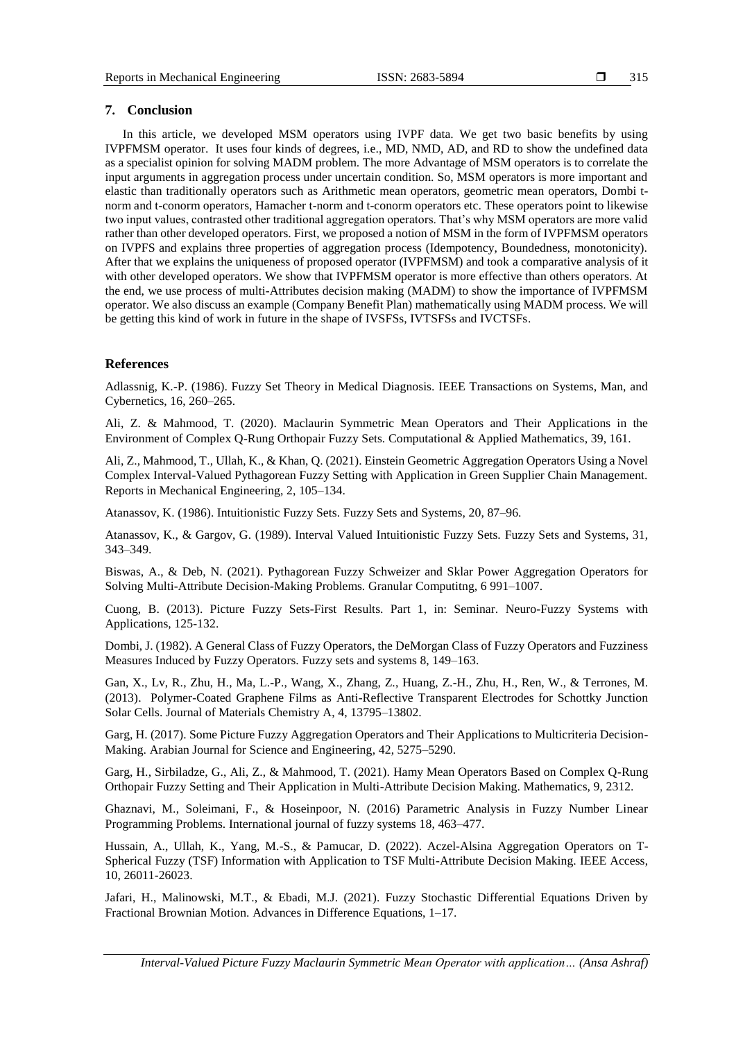#### **7. Conclusion**

In this article, we developed MSM operators using IVPF data. We get two basic benefits by using IVPFMSM operator. It uses four kinds of degrees, i.e., MD, NMD, AD, and RD to show the undefined data as a specialist opinion for solving MADM problem. The more Advantage of MSM operators is to correlate the input arguments in aggregation process under uncertain condition. So, MSM operators is more important and elastic than traditionally operators such as Arithmetic mean operators, geometric mean operators, Dombi tnorm and t-conorm operators, Hamacher t-norm and t-conorm operators etc. These operators point to likewise two input values, contrasted other traditional aggregation operators. That's why MSM operators are more valid rather than other developed operators. First, we proposed a notion of MSM in the form of IVPFMSM operators on IVPFS and explains three properties of aggregation process (Idempotency, Boundedness, monotonicity). After that we explains the uniqueness of proposed operator (IVPFMSM) and took a comparative analysis of it with other developed operators. We show that IVPFMSM operator is more effective than others operators. At the end, we use process of multi-Attributes decision making (MADM) to show the importance of IVPFMSM operator. We also discuss an example (Company Benefit Plan) mathematically using MADM process. We will be getting this kind of work in future in the shape of IVSFSs, IVTSFSs and IVCTSFs.

#### **References**

Adlassnig, K.-P. (1986). Fuzzy Set Theory in Medical Diagnosis. IEEE Transactions on Systems, Man, and Cybernetics, 16, 260–265.

Ali, Z. & Mahmood, T. (2020). Maclaurin Symmetric Mean Operators and Their Applications in the Environment of Complex Q-Rung Orthopair Fuzzy Sets. Computational & Applied Mathematics, 39, 161.

Ali, Z., Mahmood, T., Ullah, K., & Khan, Q. (2021). Einstein Geometric Aggregation Operators Using a Novel Complex Interval-Valued Pythagorean Fuzzy Setting with Application in Green Supplier Chain Management. Reports in Mechanical Engineering, 2, 105–134.

Atanassov, K. (1986). Intuitionistic Fuzzy Sets. Fuzzy Sets and Systems, 20, 87–96.

Atanassov, K., & Gargov, G. (1989). Interval Valued Intuitionistic Fuzzy Sets. Fuzzy Sets and Systems, 31, 343–349.

Biswas, A., & Deb, N. (2021). Pythagorean Fuzzy Schweizer and Sklar Power Aggregation Operators for Solving Multi-Attribute Decision-Making Problems. Granular Computitng, 6 991–1007.

Cuong, B. (2013). Picture Fuzzy Sets-First Results. Part 1, in: Seminar. Neuro-Fuzzy Systems with Applications, 125-132.

Dombi, J. (1982). A General Class of Fuzzy Operators, the DeMorgan Class of Fuzzy Operators and Fuzziness Measures Induced by Fuzzy Operators. Fuzzy sets and systems 8, 149–163.

Gan, X., Lv, R., Zhu, H., Ma, L.-P., Wang, X., Zhang, Z., Huang, Z.-H., Zhu, H., Ren, W., & Terrones, M. (2013). Polymer-Coated Graphene Films as Anti-Reflective Transparent Electrodes for Schottky Junction Solar Cells. Journal of Materials Chemistry A, 4, 13795–13802.

Garg, H. (2017). Some Picture Fuzzy Aggregation Operators and Their Applications to Multicriteria Decision-Making. Arabian Journal for Science and Engineering, 42, 5275–5290.

Garg, H., Sirbiladze, G., Ali, Z., & Mahmood, T. (2021). Hamy Mean Operators Based on Complex Q-Rung Orthopair Fuzzy Setting and Their Application in Multi-Attribute Decision Making. Mathematics, 9, 2312.

Ghaznavi, M., Soleimani, F., & Hoseinpoor, N. (2016) Parametric Analysis in Fuzzy Number Linear Programming Problems. International journal of fuzzy systems 18, 463–477.

Hussain, A., Ullah, K., Yang, M.-S., & Pamucar, D. (2022). Aczel-Alsina Aggregation Operators on T-Spherical Fuzzy (TSF) Information with Application to TSF Multi-Attribute Decision Making. IEEE Access, 10, 26011-26023.

Jafari, H., Malinowski, M.T., & Ebadi, M.J. (2021). Fuzzy Stochastic Differential Equations Driven by Fractional Brownian Motion. Advances in Difference Equations, 1–17.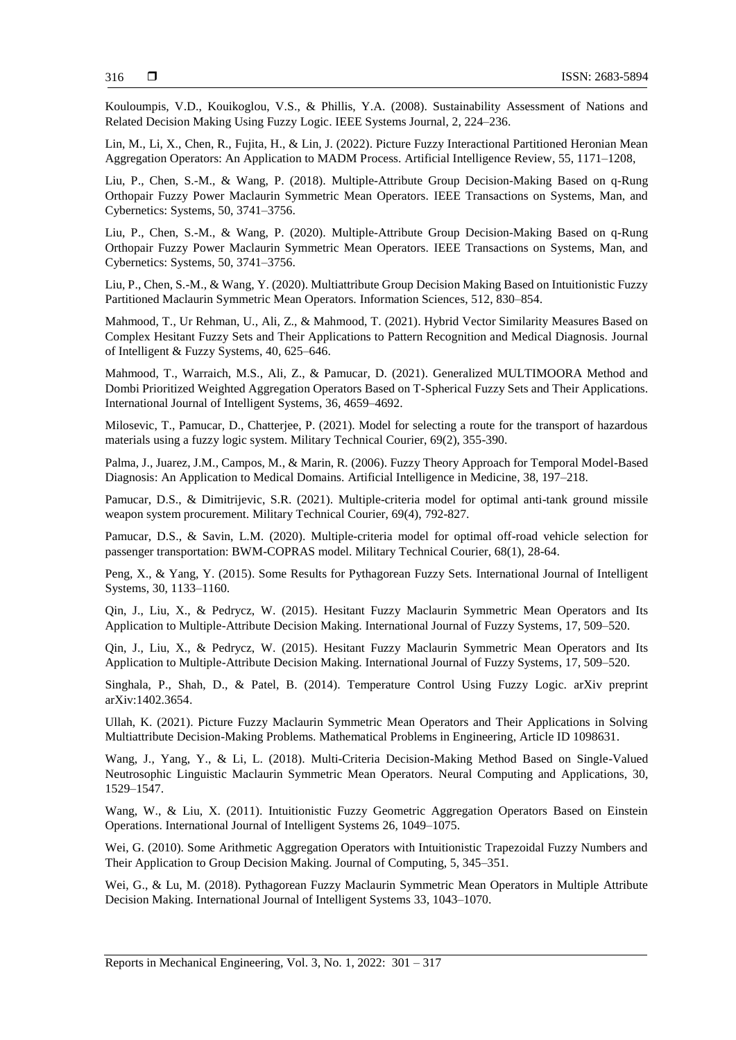Kouloumpis, V.D., Kouikoglou, V.S., & Phillis, Y.A. (2008). Sustainability Assessment of Nations and Related Decision Making Using Fuzzy Logic. IEEE Systems Journal, 2, 224–236.

Lin, M., Li, X., Chen, R., Fujita, H., & Lin, J. (2022). Picture Fuzzy Interactional Partitioned Heronian Mean Aggregation Operators: An Application to MADM Process. Artificial Intelligence Review, 55, 1171–1208,

Liu, P., Chen, S.-M., & Wang, P. (2018). Multiple-Attribute Group Decision-Making Based on q-Rung Orthopair Fuzzy Power Maclaurin Symmetric Mean Operators. IEEE Transactions on Systems, Man, and Cybernetics: Systems, 50, 3741–3756.

Liu, P., Chen, S.-M., & Wang, P. (2020). Multiple-Attribute Group Decision-Making Based on q-Rung Orthopair Fuzzy Power Maclaurin Symmetric Mean Operators. IEEE Transactions on Systems, Man, and Cybernetics: Systems, 50, 3741–3756.

Liu, P., Chen, S.-M., & Wang, Y. (2020). Multiattribute Group Decision Making Based on Intuitionistic Fuzzy Partitioned Maclaurin Symmetric Mean Operators. Information Sciences, 512, 830–854.

Mahmood, T., Ur Rehman, U., Ali, Z., & Mahmood, T. (2021). Hybrid Vector Similarity Measures Based on Complex Hesitant Fuzzy Sets and Their Applications to Pattern Recognition and Medical Diagnosis. Journal of Intelligent & Fuzzy Systems, 40, 625–646.

Mahmood, T., Warraich, M.S., Ali, Z., & Pamucar, D. (2021). Generalized MULTIMOORA Method and Dombi Prioritized Weighted Aggregation Operators Based on T-Spherical Fuzzy Sets and Their Applications. International Journal of Intelligent Systems, 36, 4659–4692.

Milosevic, T., Pamucar, D., Chatterjee, P. (2021). Model for selecting a route for the transport of hazardous materials using a fuzzy logic system. Military Technical Courier, 69(2), 355-390.

Palma, J., Juarez, J.M., Campos, M., & Marin, R. (2006). Fuzzy Theory Approach for Temporal Model-Based Diagnosis: An Application to Medical Domains. Artificial Intelligence in Medicine, 38, 197–218.

Pamucar, D.S., & Dimitrijevic, S.R. (2021). Multiple-criteria model for optimal anti-tank ground missile weapon system procurement. Military Technical Courier, 69(4), 792-827.

Pamucar, D.S., & Savin, L.M. (2020). Multiple-criteria model for optimal off-road vehicle selection for passenger transportation: BWM-COPRAS model. Military Technical Courier, 68(1), 28-64.

Peng, X., & Yang, Y. (2015). Some Results for Pythagorean Fuzzy Sets. International Journal of Intelligent Systems, 30, 1133–1160.

Qin, J., Liu, X., & Pedrycz, W. (2015). Hesitant Fuzzy Maclaurin Symmetric Mean Operators and Its Application to Multiple-Attribute Decision Making. International Journal of Fuzzy Systems, 17, 509–520.

Qin, J., Liu, X., & Pedrycz, W. (2015). Hesitant Fuzzy Maclaurin Symmetric Mean Operators and Its Application to Multiple-Attribute Decision Making. International Journal of Fuzzy Systems, 17, 509–520.

Singhala, P., Shah, D., & Patel, B. (2014). Temperature Control Using Fuzzy Logic. arXiv preprint arXiv:1402.3654.

Ullah, K. (2021). Picture Fuzzy Maclaurin Symmetric Mean Operators and Their Applications in Solving Multiattribute Decision-Making Problems. Mathematical Problems in Engineering, Article ID 1098631.

Wang, J., Yang, Y., & Li, L. (2018). Multi-Criteria Decision-Making Method Based on Single-Valued Neutrosophic Linguistic Maclaurin Symmetric Mean Operators. Neural Computing and Applications, 30, 1529–1547.

Wang, W., & Liu, X. (2011). Intuitionistic Fuzzy Geometric Aggregation Operators Based on Einstein Operations. International Journal of Intelligent Systems 26, 1049–1075.

Wei, G. (2010). Some Arithmetic Aggregation Operators with Intuitionistic Trapezoidal Fuzzy Numbers and Their Application to Group Decision Making. Journal of Computing, 5, 345–351.

Wei, G., & Lu, M. (2018). Pythagorean Fuzzy Maclaurin Symmetric Mean Operators in Multiple Attribute Decision Making. International Journal of Intelligent Systems 33, 1043–1070.